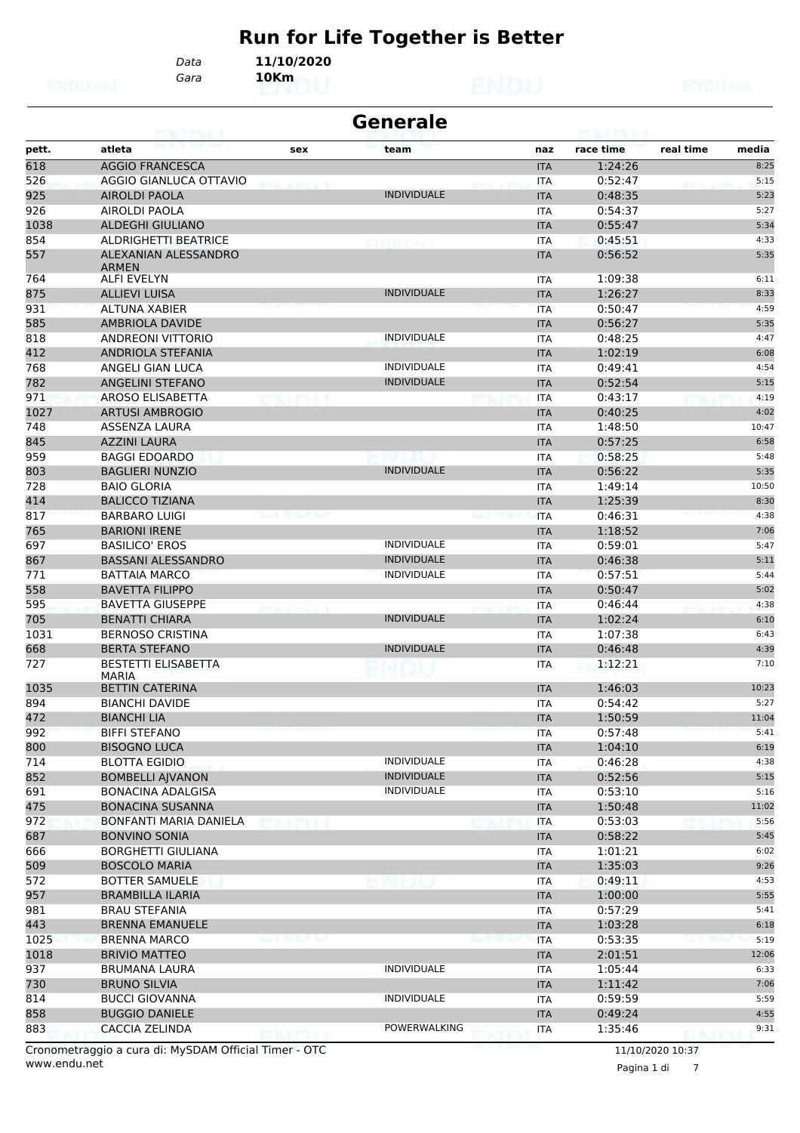# **Run for Life Together is Better**

*Gara* **10Km** *Data* **11/10/2020**

|             | <b>Generale</b><br>69. I KY LI               |              |                    |  |                          |                    |           |               |  |  |  |
|-------------|----------------------------------------------|--------------|--------------------|--|--------------------------|--------------------|-----------|---------------|--|--|--|
| pett.       | atleta                                       | sex          | team               |  | naz                      | race time          | real time | media         |  |  |  |
| 618         | <b>AGGIO FRANCESCA</b>                       |              |                    |  | <b>ITA</b>               | 1:24:26            |           | 8:25          |  |  |  |
| 526         | AGGIO GIANLUCA OTTAVIO                       |              |                    |  | <b>ITA</b>               | 0:52:47            |           | 5:15          |  |  |  |
| 925         | <b>AIROLDI PAOLA</b>                         |              | <b>INDIVIDUALE</b> |  | <b>ITA</b>               | 0:48:35            |           | 5:23          |  |  |  |
| 926         | AIROLDI PAOLA                                |              |                    |  | <b>ITA</b>               | 0:54:37            |           | 5:27          |  |  |  |
| 1038        | <b>ALDEGHI GIULIANO</b>                      |              |                    |  | <b>ITA</b>               | 0:55:47            |           | 5:34          |  |  |  |
| 854         | ALDRIGHETTI BEATRICE                         |              |                    |  | <b>ITA</b>               | 0:45:51            |           | 4:33          |  |  |  |
| 557         | ALEXANIAN ALESSANDRO<br><b>ARMFN</b>         |              |                    |  | <b>ITA</b>               | 0:56:52            |           | 5:35          |  |  |  |
| 764         | <b>ALFI EVELYN</b>                           |              |                    |  | <b>ITA</b>               | 1:09:38            |           | 6:11          |  |  |  |
| 875         | <b>ALLIEVI LUISA</b>                         |              | <b>INDIVIDUALE</b> |  | <b>ITA</b>               | 1:26:27            |           | 8:33          |  |  |  |
| 931         | <b>ALTUNA XABIER</b>                         |              |                    |  | <b>ITA</b>               | 0:50:47            |           | 4:59          |  |  |  |
| 585         | <b>AMBRIOLA DAVIDE</b>                       |              |                    |  | <b>ITA</b>               | 0:56:27            |           | 5:35          |  |  |  |
| 818         | <b>ANDREONI VITTORIO</b>                     |              | <b>INDIVIDUALE</b> |  | <b>ITA</b>               | 0:48:25            |           | 4:47          |  |  |  |
| 412         | ANDRIOLA STEFANIA                            |              | <b>INDIVIDUALE</b> |  | <b>ITA</b>               | 1:02:19            |           | 6:08          |  |  |  |
| 768<br>782  | ANGELI GIAN LUCA<br><b>ANGELINI STEFANO</b>  |              | <b>INDIVIDUALE</b> |  | <b>ITA</b>               | 0:49:41<br>0:52:54 |           | 4:54<br>5:15  |  |  |  |
| 971         | AROSO ELISABETTA                             |              |                    |  | <b>ITA</b><br><b>ITA</b> | 0:43:17            |           | 4:19          |  |  |  |
| 1027        | <b>ARTUSI AMBROGIO</b>                       |              |                    |  |                          | 0:40:25            |           | 4:02          |  |  |  |
| 748         | <b>ASSENZA LAURA</b>                         |              |                    |  | <b>ITA</b>               | 1:48:50            |           | 10:47         |  |  |  |
| 845         | <b>AZZINI LAURA</b>                          |              |                    |  | <b>ITA</b><br><b>ITA</b> | 0:57:25            |           | 6:58          |  |  |  |
| 959         | <b>BAGGI EDOARDO</b>                         |              |                    |  | <b>ITA</b>               | 0:58:25            |           | 5:48          |  |  |  |
| 803         | <b>BAGLIERI NUNZIO</b>                       |              | <b>INDIVIDUALE</b> |  | <b>ITA</b>               | 0:56:22            |           | 5:35          |  |  |  |
| 728         | <b>BAIO GLORIA</b>                           |              |                    |  | <b>ITA</b>               | 1:49:14            |           | 10:50         |  |  |  |
| 414         | <b>BALICCO TIZIANA</b>                       |              |                    |  | <b>ITA</b>               | 1:25:39            |           | 8:30          |  |  |  |
| 817         | <b>BARBARO LUIGI</b>                         |              |                    |  | <b>ITA</b>               | 0:46:31            |           | 4:38          |  |  |  |
| 765         | <b>BARIONI IRENE</b>                         |              |                    |  | <b>ITA</b>               | 1:18:52            |           | 7:06          |  |  |  |
| 697         | <b>BASILICO' EROS</b>                        |              | <b>INDIVIDUALE</b> |  | <b>ITA</b>               | 0:59:01            |           | 5:47          |  |  |  |
| 867         | <b>BASSANI ALESSANDRO</b>                    |              | <b>INDIVIDUALE</b> |  | <b>ITA</b>               | 0:46:38            |           | 5:11          |  |  |  |
| 771         | <b>BATTAIA MARCO</b>                         |              | <b>INDIVIDUALE</b> |  | <b>ITA</b>               | 0:57:51            |           | 5:44          |  |  |  |
| 558         | <b>BAVETTA FILIPPO</b>                       |              |                    |  | <b>ITA</b>               | 0:50:47            |           | 5:02          |  |  |  |
| 595         | <b>BAVETTA GIUSEPPE</b>                      |              |                    |  | <b>ITA</b>               | 0:46:44            |           | 4:38          |  |  |  |
| 705         | <b>BENATTI CHIARA</b>                        |              | <b>INDIVIDUALE</b> |  | <b>ITA</b>               | 1:02:24            |           | 6:10          |  |  |  |
| 1031        | <b>BERNOSO CRISTINA</b>                      |              |                    |  | <b>ITA</b>               | 1:07:38            |           | 6:43          |  |  |  |
| 668         | <b>BERTA STEFANO</b>                         |              | <b>INDIVIDUALE</b> |  | <b>ITA</b>               | 0:46:48            |           | 4:39          |  |  |  |
| 727         | <b>BESTETTI ELISABETTA</b><br>MARIA          |              |                    |  | <b>ITA</b>               | 1:12:21            |           | 7:10          |  |  |  |
| 1035        | <b>BETTIN CATERINA</b>                       |              |                    |  | <b>ITA</b>               | 1:46:03            |           | 10:23         |  |  |  |
| 894         | <b>BIANCHI DAVIDE</b>                        |              |                    |  | <b>ITA</b>               | 0:54:42            |           | 5:27          |  |  |  |
| 472         | <b>BIANCHI LIA</b>                           |              |                    |  | <b>ITA</b>               | 1:50:59            |           | 11:04         |  |  |  |
| 992         | <b>BIFFI STEFANO</b>                         |              |                    |  | <b>ITA</b>               | 0:57:48            |           | 5:41          |  |  |  |
| 800         | <b>BISOGNO LUCA</b>                          |              |                    |  | <b>ITA</b>               | 1:04:10            |           | 6:19          |  |  |  |
| 714         | <b>BLOTTA EGIDIO</b>                         |              | <b>INDIVIDUALE</b> |  | <b>ITA</b>               | 0:46:28            |           | 4:38          |  |  |  |
| 852         | <b>BOMBELLI AJVANON</b>                      |              | <b>INDIVIDUALE</b> |  | <b>ITA</b>               | 0:52:56            |           | 5:15          |  |  |  |
| 691         | <b>BONACINA ADALGISA</b>                     |              | <b>INDIVIDUALE</b> |  | <b>ITA</b>               | 0:53:10            |           | 5:16          |  |  |  |
| 475         | <b>BONACINA SUSANNA</b>                      |              |                    |  | <b>ITA</b>               | 1:50:48            |           | 11:02         |  |  |  |
| 972         | BONFANTI MARIA DANIELA                       |              |                    |  | <b>ITA</b>               | 0:53:03            |           | 5:56          |  |  |  |
| 687         | <b>BONVINO SONIA</b>                         |              |                    |  | <b>ITA</b>               | 0:58:22            |           | 5:45          |  |  |  |
| 666         | <b>BORGHETTI GIULIANA</b>                    |              |                    |  | ITA                      | 1:01:21            |           | 6:02          |  |  |  |
| 509         | <b>BOSCOLO MARIA</b>                         |              |                    |  | <b>ITA</b>               | 1:35:03            |           | 9:26          |  |  |  |
| 572         | <b>BOTTER SAMUELE</b>                        |              |                    |  | ITA                      | 0:49:11            |           | 4:53          |  |  |  |
| 957         | <b>BRAMBILLA ILARIA</b>                      |              |                    |  | <b>ITA</b>               | 1:00:00            |           | 5:55          |  |  |  |
| 981         | <b>BRAU STEFANIA</b>                         |              |                    |  | ITA                      | 0:57:29            |           | 5:41          |  |  |  |
| 443         | <b>BRENNA EMANUELE</b>                       | 78 Taul 1947 |                    |  | <b>ITA</b>               | 1:03:28            |           | 6:18          |  |  |  |
| 1025        | <b>BRENNA MARCO</b>                          |              |                    |  | <b>ITA</b>               | 0:53:35            |           | 5:19          |  |  |  |
| 1018<br>937 | <b>BRIVIO MATTEO</b><br><b>BRUMANA LAURA</b> |              | <b>INDIVIDUALE</b> |  | <b>ITA</b>               | 2:01:51            |           | 12:06<br>6:33 |  |  |  |
| 730         | <b>BRUNO SILVIA</b>                          |              |                    |  | <b>ITA</b><br><b>ITA</b> | 1:05:44<br>1:11:42 |           | 7:06          |  |  |  |
| 814         | <b>BUCCI GIOVANNA</b>                        |              | <b>INDIVIDUALE</b> |  | ITA                      | 0:59:59            |           | 5:59          |  |  |  |
| 858         | <b>BUGGIO DANIELE</b>                        |              |                    |  | <b>ITA</b>               | 0:49:24            |           | 4:55          |  |  |  |
| 883         | <b>CACCIA ZELINDA</b>                        |              | POWERWALKING       |  | <b>ITA</b>               | 1:35:46            |           | 9:31          |  |  |  |
|             |                                              |              |                    |  |                          |                    |           |               |  |  |  |

www.endu.net Cronometraggio a cura di: MySDAM Official Timer - OTC 11/10/2020 10:37

Pagina 1 di 7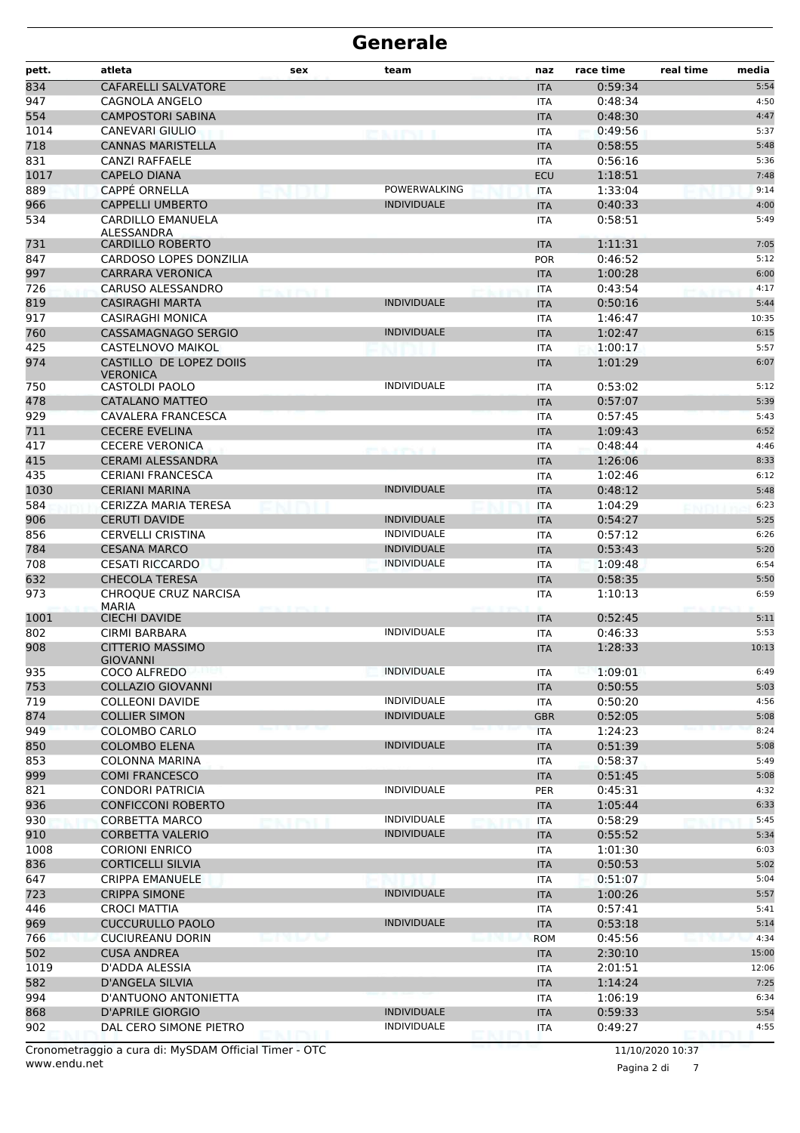| pett. | atleta                                     | sex               | team               | naz        | race time | real time | media |
|-------|--------------------------------------------|-------------------|--------------------|------------|-----------|-----------|-------|
| 834   | <b>CAFARELLI SALVATORE</b>                 |                   |                    | <b>ITA</b> | 0:59:34   |           | 5:54  |
| 947   | CAGNOLA ANGELO                             |                   |                    | <b>ITA</b> | 0:48:34   |           | 4:50  |
| 554   | <b>CAMPOSTORI SABINA</b>                   |                   |                    | <b>ITA</b> | 0:48:30   |           | 4:47  |
| 1014  | <b>CANEVARI GIULIO</b>                     |                   | evity i            | <b>ITA</b> | 0:49:56   |           | 5:37  |
| 718   | <b>CANNAS MARISTELLA</b>                   |                   |                    | <b>ITA</b> | 0:58:55   |           | 5:48  |
| 831   | <b>CANZI RAFFAELE</b>                      |                   |                    | <b>ITA</b> | 0:56:16   |           | 5:36  |
| 1017  | <b>CAPELO DIANA</b>                        |                   |                    | <b>ECU</b> | 1:18:51   |           | 7:48  |
| 889   | <b>CAPPÉ ORNELLA</b>                       |                   | POWERWALKING       | <b>ITA</b> | 1:33:04   |           | 9:14  |
| 966   | <b>CAPPELLI UMBERTO</b>                    |                   | <b>INDIVIDUALE</b> | <b>ITA</b> | 0:40:33   |           | 4:00  |
| 534   | <b>CARDILLO EMANUELA</b><br>ALESSANDRA     |                   |                    | <b>ITA</b> | 0:58:51   |           | 5:49  |
| 731   | <b>CARDILLO ROBERTO</b>                    |                   |                    | <b>ITA</b> | 1:11:31   |           | 7:05  |
| 847   | CARDOSO LOPES DONZILIA                     |                   |                    | <b>POR</b> | 0:46:52   |           | 5:12  |
| 997   | <b>CARRARA VERONICA</b>                    |                   |                    | <b>ITA</b> | 1:00:28   |           | 6:00  |
| 726   | <b>CARUSO ALESSANDRO</b>                   | <b>PEACEPROLE</b> |                    | <b>ITA</b> | 0:43:54   |           | 4:17  |
| 819   | <b>CASIRAGHI MARTA</b>                     |                   | <b>INDIVIDUALE</b> | <b>ITA</b> | 0:50:16   |           | 5:44  |
| 917   | <b>CASIRAGHI MONICA</b>                    |                   |                    | <b>ITA</b> | 1:46:47   |           | 10:35 |
| 760   | CASSAMAGNAGO SERGIO                        |                   | <b>INDIVIDUALE</b> | <b>ITA</b> | 1:02:47   |           | 6:15  |
| 425   | CASTELNOVO MAIKOL                          |                   |                    | <b>ITA</b> | 1:00:17   |           | 5:57  |
| 974   | CASTILLO DE LOPEZ DOIIS<br><b>VERONICA</b> |                   |                    | <b>ITA</b> | 1:01:29   |           | 6:07  |
| 750   | CASTOLDI PAOLO                             |                   | <b>INDIVIDUALE</b> | <b>ITA</b> | 0:53:02   |           | 5:12  |
| 478   | CATALANO MATTEO                            |                   |                    | <b>ITA</b> | 0:57:07   |           | 5:39  |
| 929   | CAVALERA FRANCESCA                         |                   |                    | <b>ITA</b> | 0:57:45   |           | 5:43  |
| 711   | <b>CECERE EVELINA</b>                      |                   |                    | <b>ITA</b> | 1:09:43   |           | 6:52  |
| 417   | <b>CECERE VERONICA</b>                     |                   |                    | <b>ITA</b> | 0:48:44   |           | 4:46  |
| 415   | <b>CERAMI ALESSANDRA</b>                   |                   |                    | <b>ITA</b> | 1:26:06   |           | 8:33  |
| 435   | <b>CERIANI FRANCESCA</b>                   |                   |                    | <b>ITA</b> | 1:02:46   |           | 6:12  |
| 1030  | <b>CERIANI MARINA</b>                      |                   | <b>INDIVIDUALE</b> | <b>ITA</b> | 0:48:12   |           | 5:48  |
| 584   | <b>CERIZZA MARIA TERESA</b>                |                   |                    | <b>ITA</b> | 1:04:29   |           | 6:23  |
| 906   | <b>CERUTI DAVIDE</b>                       |                   | <b>INDIVIDUALE</b> | <b>ITA</b> | 0:54:27   |           | 5:25  |
| 856   | <b>CERVELLI CRISTINA</b>                   |                   | <b>INDIVIDUALE</b> | <b>ITA</b> | 0:57:12   |           | 6:26  |
| 784   | <b>CESANA MARCO</b>                        |                   | <b>INDIVIDUALE</b> | <b>ITA</b> | 0:53:43   |           | 5:20  |
| 708   | <b>CESATI RICCARDO</b>                     |                   | <b>INDIVIDUALE</b> | <b>ITA</b> | 1:09:48   |           | 6:54  |
| 632   | <b>CHECOLA TERESA</b>                      |                   |                    | <b>ITA</b> | 0:58:35   |           | 5:50  |
| 973   | CHROQUE CRUZ NARCISA<br><b>MARIA</b>       |                   |                    | <b>ITA</b> | 1:10:13   |           | 6:59  |
| 1001  | <b>CIECHI DAVIDE</b>                       |                   |                    | <b>ITA</b> | 0:52:45   |           | 5:11  |
| 802   | <b>CIRMI BARBARA</b>                       |                   | <b>INDIVIDUALE</b> | <b>ITA</b> | 0:46:33   |           | 5:53  |
| 908   | <b>CITTERIO MASSIMO</b><br><b>GIOVANNI</b> |                   |                    | <b>ITA</b> | 1:28:33   |           | 10:13 |
| 935   | COCO ALFREDO                               |                   | <b>INDIVIDUALE</b> | ITA        | 1:09:01   |           | 6:49  |
| 753   | <b>COLLAZIO GIOVANNI</b>                   |                   |                    | <b>ITA</b> | 0:50:55   |           | 5:03  |
| 719   | <b>COLLEONI DAVIDE</b>                     |                   | <b>INDIVIDUALE</b> | ITA        | 0:50:20   |           | 4:56  |
| 874   | <b>COLLIER SIMON</b>                       |                   | <b>INDIVIDUALE</b> | <b>GBR</b> | 0:52:05   |           | 5:08  |
| 949   | COLOMBO CARLO                              |                   |                    | <b>ITA</b> | 1:24:23   |           | 8:24  |
| 850   | <b>COLOMBO ELENA</b>                       |                   | <b>INDIVIDUALE</b> | <b>ITA</b> | 0:51:39   |           | 5:08  |
| 853   | <b>COLONNA MARINA</b>                      |                   |                    | ITA        | 0:58:37   |           | 5:49  |
| 999   | <b>COMI FRANCESCO</b>                      |                   |                    | <b>ITA</b> | 0:51:45   |           | 5:08  |
| 821   | <b>CONDORI PATRICIA</b>                    |                   | <b>INDIVIDUALE</b> | <b>PER</b> | 0:45:31   |           | 4:32  |
| 936   | <b>CONFICCONI ROBERTO</b>                  |                   |                    | <b>ITA</b> | 1:05:44   |           | 6:33  |
| 930   | <b>CORBETTA MARCO</b>                      |                   | <b>INDIVIDUALE</b> | ITA        | 0:58:29   |           | 5:45  |
| 910   | <b>CORBETTA VALERIO</b>                    |                   | <b>INDIVIDUALE</b> | <b>ITA</b> | 0:55:52   |           | 5:34  |
| 1008  | <b>CORIONI ENRICO</b>                      |                   |                    | <b>ITA</b> | 1:01:30   |           | 6:03  |
| 836   | <b>CORTICELLI SILVIA</b>                   |                   |                    | <b>ITA</b> | 0:50:53   |           | 5:02  |
| 647   | <b>CRIPPA EMANUELE</b>                     |                   |                    | ITA        | 0:51:07   |           | 5:04  |
| 723   | <b>CRIPPA SIMONE</b>                       |                   | <b>INDIVIDUALE</b> | <b>ITA</b> | 1:00:26   |           | 5:57  |
| 446   | <b>CROCI MATTIA</b>                        |                   |                    | ITA        | 0:57:41   |           | 5:41  |
| 969   | <b>CUCCURULLO PAOLO</b>                    |                   | <b>INDIVIDUALE</b> | <b>ITA</b> | 0:53:18   |           | 5:14  |
| 766   | <b>CUCIUREANU DORIN</b>                    | マーイー              |                    | <b>ROM</b> | 0:45:56   |           | 4:34  |
| 502   | <b>CUSA ANDREA</b>                         |                   |                    | <b>ITA</b> | 2:30:10   |           | 15:00 |
| 1019  | D'ADDA ALESSIA                             |                   |                    | ITA        | 2:01:51   |           | 12:06 |
| 582   | D'ANGELA SILVIA                            |                   |                    | <b>ITA</b> | 1:14:24   |           | 7:25  |
| 994   | D'ANTUONO ANTONIETTA                       |                   |                    | ITA        | 1:06:19   |           | 6:34  |
| 868   | <b>D'APRILE GIORGIO</b>                    |                   | <b>INDIVIDUALE</b> | <b>ITA</b> | 0:59:33   |           | 5:54  |
| 902   | DAL CERO SIMONE PIETRO                     |                   | <b>INDIVIDUALE</b> | ITA        | 0:49:27   |           | 4:55  |

www.endu.net Cronometraggio a cura di: MySDAM Official Timer - OTC 11/10/2020 10:37

Pagina 2 di 7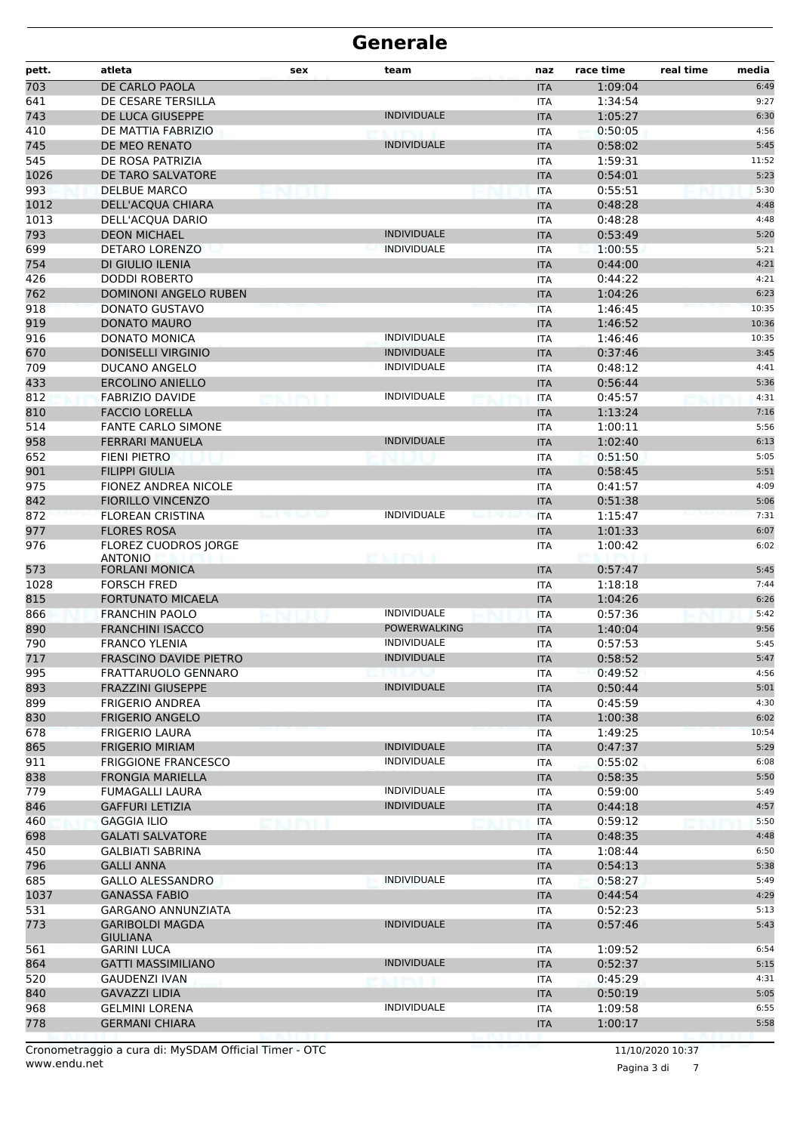| pett.      | atleta                                               | sex | team                                      | naz                      | race time          | real time<br>media |
|------------|------------------------------------------------------|-----|-------------------------------------------|--------------------------|--------------------|--------------------|
| 703        | DE CARLO PAOLA                                       |     |                                           | <b>ITA</b>               | 1:09:04            | 6:49               |
| 641        | DE CESARE TERSILLA                                   |     |                                           | <b>ITA</b>               | 1:34:54            | 9:27               |
| 743        | DE LUCA GIUSEPPE                                     |     | <b>INDIVIDUALE</b>                        | <b>ITA</b>               | 1:05:27            | 6:30               |
| 410        | DE MATTIA FABRIZIO                                   |     |                                           | <b>ITA</b>               | 0:50:05            | 4:56               |
| 745        | DE MEO RENATO                                        |     | <b>INDIVIDUALE</b>                        | <b>ITA</b>               | 0:58:02            | 5:45               |
| 545        | DE ROSA PATRIZIA                                     |     |                                           | <b>ITA</b>               | 1:59:31            | 11:52              |
| 1026       | DE TARO SALVATORE                                    |     |                                           | <b>ITA</b>               | 0:54:01            | 5:23               |
| 993        | <b>DELBUE MARCO</b>                                  |     |                                           | <b>ITA</b>               | 0:55:51            | 5:30               |
| 1012       | DELL'ACQUA CHIARA                                    |     |                                           | <b>ITA</b>               | 0:48:28            | 4:48               |
| 1013       | DELL'ACQUA DARIO                                     |     |                                           | <b>ITA</b>               | 0:48:28            | 4:48               |
| 793        | <b>DEON MICHAEL</b>                                  |     | <b>INDIVIDUALE</b><br><b>INDIVIDUALE</b>  | <b>ITA</b>               | 0:53:49            | 5:20               |
| 699        | <b>DETARO LORENZO</b>                                |     |                                           | <b>ITA</b>               | 1:00:55            | 5:21               |
| 754        | DI GIULIO ILENIA                                     |     |                                           | <b>ITA</b>               | 0:44:00            | 4:21               |
| 426<br>762 | <b>DODDI ROBERTO</b><br><b>DOMINONI ANGELO RUBEN</b> |     |                                           | <b>ITA</b>               | 0:44:22<br>1:04:26 | 4:21<br>6:23       |
| 918        | <b>DONATO GUSTAVO</b>                                |     |                                           | <b>ITA</b><br><b>ITA</b> | 1:46:45            | 10:35              |
| 919        | <b>DONATO MAURO</b>                                  |     |                                           | <b>ITA</b>               | 1:46:52            | 10:36              |
| 916        | <b>DONATO MONICA</b>                                 |     | <b>INDIVIDUALE</b>                        | <b>ITA</b>               | 1:46:46            | 10:35              |
| 670        | <b>DONISELLI VIRGINIO</b>                            |     | <b>INDIVIDUALE</b>                        | <b>ITA</b>               | 0:37:46            | 3:45               |
| 709        | DUCANO ANGELO                                        |     | <b>INDIVIDUALE</b>                        | <b>ITA</b>               | 0:48:12            | 4:41               |
| 433        | <b>ERCOLINO ANIELLO</b>                              |     |                                           | <b>ITA</b>               | 0:56:44            | 5:36               |
| 812        | <b>FABRIZIO DAVIDE</b>                               |     | <b>INDIVIDUALE</b>                        | <b>ITA</b>               | 0:45:57            | 4:31               |
| 810        | <b>FACCIO LORELLA</b>                                |     |                                           | <b>ITA</b>               | 1:13:24            | 7:16               |
| 514        | <b>FANTE CARLO SIMONE</b>                            |     |                                           | <b>ITA</b>               | 1:00:11            | 5:56               |
| 958        | <b>FERRARI MANUELA</b>                               |     | <b>INDIVIDUALE</b>                        | <b>ITA</b>               | 1:02:40            | 6:13               |
| 652        | FIENI PIETRO                                         |     |                                           | <b>ITA</b>               | 0:51:50            | 5:05               |
| 901        | <b>FILIPPI GIULIA</b>                                |     |                                           | <b>ITA</b>               | 0:58:45            | 5:51               |
| 975        | FIONEZ ANDREA NICOLE                                 |     |                                           | <b>ITA</b>               | 0:41:57            | 4:09               |
| 842        | <b>FIORILLO VINCENZO</b>                             |     |                                           | <b>ITA</b>               | 0:51:38            | 5:06               |
| 872        | <b>FLOREAN CRISTINA</b>                              |     | <b>INDIVIDUALE</b>                        | <b>ITA</b>               | 1:15:47            | 7:31               |
| 977        | <b>FLORES ROSA</b>                                   |     |                                           | <b>ITA</b>               | 1:01:33            | 6:07               |
| 976        | FLOREZ CUODROS JORGE                                 |     |                                           | <b>ITA</b>               | 1:00:42            | 6:02               |
|            | <b>ANTONIO</b>                                       |     | <b>PERSONAL</b>                           |                          |                    |                    |
| 573        | <b>FORLANI MONICA</b>                                |     |                                           | <b>ITA</b>               | 0:57:47            | 5:45               |
| 1028       | <b>FORSCH FRED</b>                                   |     |                                           | <b>ITA</b>               | 1:18:18            | 7:44               |
| 815        | <b>FORTUNATO MICAELA</b>                             |     |                                           | <b>ITA</b>               | 1:04:26            | 6:26               |
| 866        | <b>FRANCHIN PAOLO</b>                                |     | <b>INDIVIDUALE</b><br><b>POWERWALKING</b> | <b>ITA</b>               | 0:57:36            | 5:42               |
| 890<br>790 | <b>FRANCHINI ISACCO</b><br><b>FRANCO YLENIA</b>      |     | <b>INDIVIDUALE</b>                        | <b>ITA</b>               | 1:40:04<br>0:57:53 | 9:56<br>5:45       |
| 717        | <b>FRASCINO DAVIDE PIETRO</b>                        |     | <b>INDIVIDUALE</b>                        | <b>ITA</b>               | 0:58:52            | 5:47               |
| 995        | FRATTARUOLO GENNARO                                  |     | メレハン                                      | <b>ITA</b><br>ITA        | 0:49:52            | 4:56               |
| 893        | <b>FRAZZINI GIUSEPPE</b>                             |     | <b>INDIVIDUALE</b>                        | <b>ITA</b>               | 0:50:44            | 5:01               |
| 899        | <b>FRIGERIO ANDREA</b>                               |     |                                           | ITA                      | 0:45:59            | 4:30               |
| 830        | <b>FRIGERIO ANGELO</b>                               |     |                                           | <b>ITA</b>               | 1:00:38            | 6:02               |
| 678        | FRIGERIO LAURA                                       |     |                                           | <b>ITA</b>               | 1:49:25            | 10:54              |
| 865        | <b>FRIGERIO MIRIAM</b>                               |     | <b>INDIVIDUALE</b>                        | <b>ITA</b>               | 0:47:37            | 5:29               |
| 911        | <b>FRIGGIONE FRANCESCO</b>                           |     | <b>INDIVIDUALE</b>                        | ITA                      | 0:55:02            | 6:08               |
| 838        | <b>FRONGIA MARIELLA</b>                              |     |                                           | <b>ITA</b>               | 0:58:35            | 5:50               |
| 779        | FUMAGALLI LAURA                                      |     | <b>INDIVIDUALE</b>                        | ITA                      | 0:59:00            | 5:49               |
| 846        | <b>GAFFURI LETIZIA</b>                               |     | <b>INDIVIDUALE</b>                        | <b>ITA</b>               | 0:44:18            | 4:57               |
| 460        | <b>GAGGIA ILIO</b>                                   |     |                                           | <b>ITA</b>               | 0:59:12            | 5:50               |
| 698        | <b>GALATI SALVATORE</b>                              |     |                                           | <b>ITA</b>               | 0:48:35            | 4:48               |
| 450        | <b>GALBIATI SABRINA</b>                              |     |                                           | ITA                      | 1:08:44            | 6:50               |
| 796        | <b>GALLI ANNA</b>                                    |     |                                           | <b>ITA</b>               | 0:54:13            | 5:38               |
| 685        | <b>GALLO ALESSANDRO</b>                              |     | <b>INDIVIDUALE</b>                        | ITA                      | 0:58:27            | 5:49               |
| 1037       | <b>GANASSA FABIO</b>                                 |     |                                           | <b>ITA</b>               | 0:44:54            | 4:29               |
| 531        | GARGANO ANNUNZIATA                                   |     |                                           | <b>ITA</b>               | 0:52:23            | 5:13               |
| 773        | <b>GARIBOLDI MAGDA</b><br><b>GIULIANA</b>            |     | <b>INDIVIDUALE</b>                        | <b>ITA</b>               | 0:57:46            | 5:43               |
| 561        | <b>GARINI LUCA</b>                                   |     |                                           | ITA                      | 1:09:52            | 6:54               |
| 864        | <b>GATTI MASSIMILIANO</b>                            |     | <b>INDIVIDUALE</b>                        | <b>ITA</b>               | 0:52:37            | 5:15               |
| 520        | <b>GAUDENZI IVAN</b>                                 |     |                                           | <b>ITA</b>               | 0:45:29            | 4:31               |
| 840        | <b>GAVAZZI LIDIA</b>                                 |     |                                           | <b>ITA</b>               | 0:50:19            | 5:05               |
| 968        | <b>GELMINI LORENA</b>                                |     | <b>INDIVIDUALE</b>                        | ITA                      | 1:09:58            | 6:55               |
| 778        | <b>GERMANI CHIARA</b>                                |     |                                           | <b>ITA</b>               | 1:00:17            | 5:58               |
|            |                                                      |     |                                           |                          |                    |                    |

Pagina 3 di 7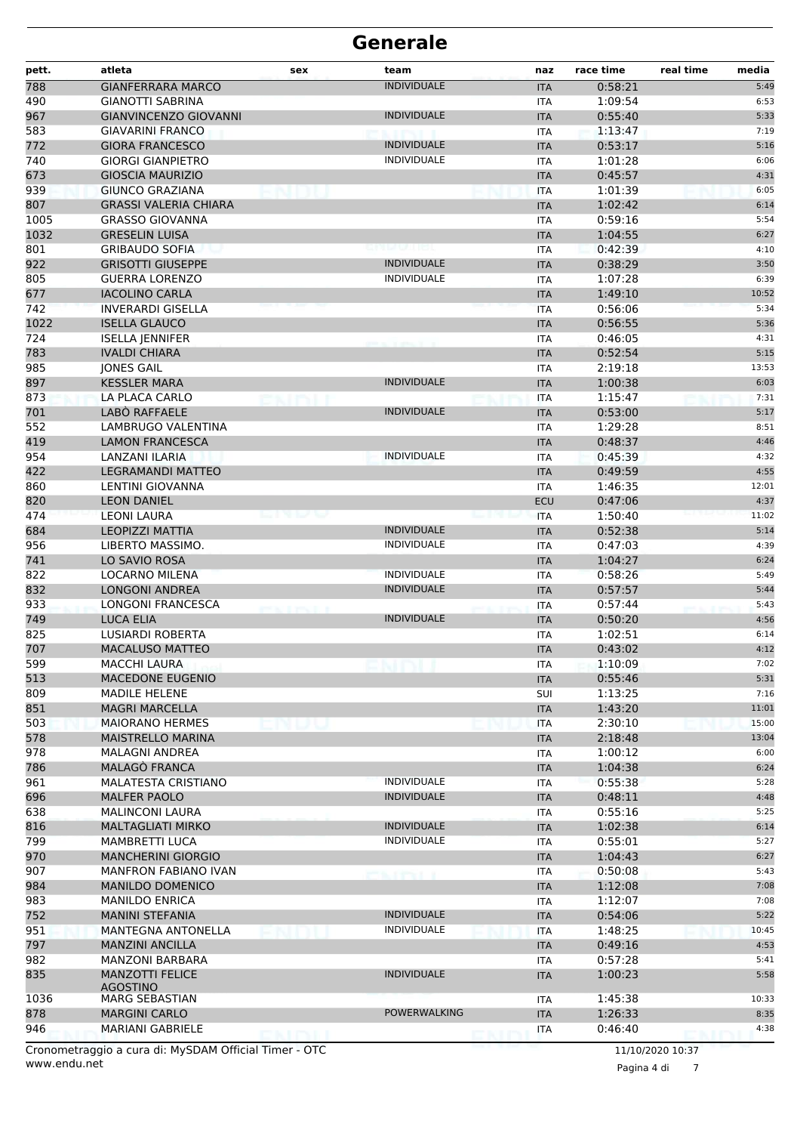| <b>INDIVIDUALE</b><br><b>GIANFERRARA MARCO</b><br>0:58:21<br><b>ITA</b><br><b>GIANOTTI SABRINA</b><br>1:09:54<br>ITA<br><b>GIANVINCENZO GIOVANNI</b><br><b>INDIVIDUALE</b><br>0:55:40<br><b>ITA</b><br><b>GIAVARINI FRANCO</b><br>1:13:47<br><b>ITA</b><br><b>INDIVIDUALE</b><br>0:53:17<br><b>GIORA FRANCESCO</b><br><b>ITA</b><br><b>INDIVIDUALE</b><br><b>GIORGI GIANPIETRO</b><br>1:01:28<br><b>ITA</b><br><b>GIOSCIA MAURIZIO</b><br>0:45:57<br>4:31<br><b>ITA</b><br>GIUNCO GRAZIANA<br>1:01:39<br><b>ITA</b><br><b>GRASSI VALERIA CHIARA</b><br>1:02:42<br><b>ITA</b><br>1005<br><b>GRASSO GIOVANNA</b><br>0:59:16<br>5:54<br><b>ITA</b><br>1032<br><b>GRESELIN LUISA</b><br><b>ITA</b><br>1:04:55<br>6:27<br>801<br><b>GRIBAUDO SOFIA</b><br>0:42:39<br>4:10<br><b>ITA</b><br><b>INDIVIDUALE</b><br>922<br><b>GRISOTTI GIUSEPPE</b><br>0:38:29<br>3:50<br><b>ITA</b><br>805<br><b>INDIVIDUALE</b><br><b>GUERRA LORENZO</b><br>1:07:28<br>6:39<br><b>ITA</b><br>677<br><b>IACOLINO CARLA</b><br>1:49:10<br>10:52<br><b>ITA</b><br>742<br><b>INVERARDI GISELLA</b><br>0:56:06<br>5:34<br><b>ITA</b><br>1022<br><b>ISELLA GLAUCO</b><br>0:56:55<br>5:36<br><b>ITA</b><br>724<br>0:46:05<br>4:31<br><b>ISELLA JENNIFER</b><br><b>ITA</b><br>783<br><b>IVALDI CHIARA</b><br>0:52:54<br>5:15<br><b>ITA</b><br>985<br>13:53<br><b>JONES GAIL</b><br>2:19:18<br><b>ITA</b><br>6:03<br>897<br><b>KESSLER MARA</b><br><b>INDIVIDUALE</b><br>1:00:38<br><b>ITA</b><br>873<br>7:31<br>LA PLACA CARLO<br>1:15:47<br>ITA<br>701<br>LABO RAFFAELE<br><b>INDIVIDUALE</b><br>0:53:00<br>5:17<br><b>ITA</b><br>552<br><b>LAMBRUGO VALENTINA</b><br>1:29:28<br>8:51<br><b>ITA</b><br>419<br><b>LAMON FRANCESCA</b><br>0:48:37<br>4:46<br><b>ITA</b><br>954<br><b>INDIVIDUALE</b><br>4:32<br>LANZANI ILARIA<br>0:45:39<br><b>ITA</b><br>422<br><b>LEGRAMANDI MATTEO</b><br>0:49:59<br>4:55<br><b>ITA</b><br>860<br>12:01<br>LENTINI GIOVANNA<br><b>ITA</b><br>1:46:35<br>820<br>0:47:06<br><b>LEON DANIEL</b><br>4:37<br>ECU<br>474<br><b>LEONI LAURA</b><br>1:50:40<br>11:02<br><b>ITA</b><br>684<br><b>LEOPIZZI MATTIA</b><br>0:52:38<br>5:14<br><b>INDIVIDUALE</b><br><b>ITA</b><br>956<br>LIBERTO MASSIMO.<br><b>INDIVIDUALE</b><br>0:47:03<br>4:39<br><b>ITA</b><br>741<br>LO SAVIO ROSA<br>1:04:27<br><b>ITA</b><br>6:24<br>822<br><b>INDIVIDUALE</b><br>0:58:26<br>5:49<br>LOCARNO MILENA<br>ITA<br>832<br><b>INDIVIDUALE</b><br>0:57:57<br><b>LONGONI ANDREA</b><br>5:44<br><b>ITA</b><br>933<br><b>LONGONI FRANCESCA</b><br>0:57:44<br>5:43<br>ITA<br>749<br>0:50:20<br><b>LUCA ELIA</b><br><b>INDIVIDUALE</b><br><b>ITA</b><br>4:56<br>825<br>1:02:51<br>6:14<br><b>LUSIARDI ROBERTA</b><br><b>ITA</b><br>707<br><b>MACALUSO MATTEO</b><br>0:43:02<br><b>ITA</b><br>4:12<br>599<br><b>MACCHI LAURA</b><br><b>ITA</b><br>1:10:09<br>7:02<br>513<br>5:31<br><b>MACEDONE EUGENIO</b><br>0:55:46<br><b>ITA</b><br>809<br><b>MADILE HELENE</b><br>1:13:25<br>7:16<br><b>SUI</b><br>851<br>1:43:20<br>11:01<br><b>MAGRI MARCELLA</b><br><b>ITA</b><br>15:00<br>503<br><b>MAIORANO HERMES</b><br><b>ITA</b><br>2:30:10<br>578<br><b>MAISTRELLO MARINA</b><br>2:18:48<br>13:04<br><b>ITA</b><br>978<br><b>MALAGNI ANDREA</b><br><b>ITA</b><br>1:00:12<br>6:00<br>786<br>MALAGÒ FRANCA<br>6:24<br><b>ITA</b><br>1:04:38<br><b>INDIVIDUALE</b><br>961<br><b>MALATESTA CRISTIANO</b><br>0:55:38<br>5:28<br>ITA<br>696<br><b>INDIVIDUALE</b><br>0:48:11<br>4:48<br><b>MALFER PAOLO</b><br><b>ITA</b><br>5:25<br>638<br>0:55:16<br><b>MALINCONI LAURA</b><br>ITA<br>816<br><b>MALTAGLIATI MIRKO</b><br><b>INDIVIDUALE</b><br>1:02:38<br><b>ITA</b><br>6:14<br><b>INDIVIDUALE</b><br>799<br>5:27<br>MAMBRETTI LUCA<br>0:55:01<br>ITA<br>970<br><b>MANCHERINI GIORGIO</b><br>6:27<br><b>ITA</b><br>1:04:43<br>907<br><b>MANFRON FABIANO IVAN</b><br>0:50:08<br>5:43<br>ITA<br>984<br>7:08<br><b>MANILDO DOMENICO</b><br>1:12:08<br><b>ITA</b><br>7:08<br>983<br><b>MANILDO ENRICA</b><br><b>ITA</b><br>1:12:07<br>752<br><b>INDIVIDUALE</b><br>5:22<br><b>MANINI STEFANIA</b><br><b>ITA</b><br>0:54:06<br>951<br><b>INDIVIDUALE</b><br><b>MANTEGNA ANTONELLA</b><br>1:48:25<br>10:45<br><b>ITA</b><br>797<br><b>MANZINI ANCILLA</b><br>4:53<br><b>ITA</b><br>0:49:16<br>982<br>0:57:28<br><b>MANZONI BARBARA</b><br>5:41<br>ITA<br>835<br><b>INDIVIDUALE</b><br>5:58<br><b>MANZOTTI FELICE</b><br>1:00:23<br><b>ITA</b><br><b>AGOSTINO</b><br><b>MARG SEBASTIAN</b><br>1:45:38<br>ITA<br>POWERWALKING<br><b>MARGINI CARLO</b><br><b>ITA</b><br>1:26:33<br><b>MARIANI GABRIELE</b><br>0:46:40<br><b>ITA</b><br>Cronometraggio a cura di: MySDAM Official Timer - OTC<br>11/10/2020 10:37 | pett. | atleta | sex | team | naz | race time | real time | media |
|------------------------------------------------------------------------------------------------------------------------------------------------------------------------------------------------------------------------------------------------------------------------------------------------------------------------------------------------------------------------------------------------------------------------------------------------------------------------------------------------------------------------------------------------------------------------------------------------------------------------------------------------------------------------------------------------------------------------------------------------------------------------------------------------------------------------------------------------------------------------------------------------------------------------------------------------------------------------------------------------------------------------------------------------------------------------------------------------------------------------------------------------------------------------------------------------------------------------------------------------------------------------------------------------------------------------------------------------------------------------------------------------------------------------------------------------------------------------------------------------------------------------------------------------------------------------------------------------------------------------------------------------------------------------------------------------------------------------------------------------------------------------------------------------------------------------------------------------------------------------------------------------------------------------------------------------------------------------------------------------------------------------------------------------------------------------------------------------------------------------------------------------------------------------------------------------------------------------------------------------------------------------------------------------------------------------------------------------------------------------------------------------------------------------------------------------------------------------------------------------------------------------------------------------------------------------------------------------------------------------------------------------------------------------------------------------------------------------------------------------------------------------------------------------------------------------------------------------------------------------------------------------------------------------------------------------------------------------------------------------------------------------------------------------------------------------------------------------------------------------------------------------------------------------------------------------------------------------------------------------------------------------------------------------------------------------------------------------------------------------------------------------------------------------------------------------------------------------------------------------------------------------------------------------------------------------------------------------------------------------------------------------------------------------------------------------------------------------------------------------------------------------------------------------------------------------------------------------------------------------------------------------------------------------------------------------------------------------------------------------------------------------------------------------------------------------------------------------------------------------------------------------------------------------------------------------------------------------------------------------------------------------------------------------------------------------------------------------------------------------------------------------------------------------------------------------------------------------------------------------------------------------------------------------------------------------------------------------------------------------------------------------------------------------|-------|--------|-----|------|-----|-----------|-----------|-------|
|                                                                                                                                                                                                                                                                                                                                                                                                                                                                                                                                                                                                                                                                                                                                                                                                                                                                                                                                                                                                                                                                                                                                                                                                                                                                                                                                                                                                                                                                                                                                                                                                                                                                                                                                                                                                                                                                                                                                                                                                                                                                                                                                                                                                                                                                                                                                                                                                                                                                                                                                                                                                                                                                                                                                                                                                                                                                                                                                                                                                                                                                                                                                                                                                                                                                                                                                                                                                                                                                                                                                                                                                                                                                                                                                                                                                                                                                                                                                                                                                                                                                                                                                                                                                                                                                                                                                                                                                                                                                                                                                                                                                                                                                        | 788   |        |     |      |     |           |           | 5:49  |
|                                                                                                                                                                                                                                                                                                                                                                                                                                                                                                                                                                                                                                                                                                                                                                                                                                                                                                                                                                                                                                                                                                                                                                                                                                                                                                                                                                                                                                                                                                                                                                                                                                                                                                                                                                                                                                                                                                                                                                                                                                                                                                                                                                                                                                                                                                                                                                                                                                                                                                                                                                                                                                                                                                                                                                                                                                                                                                                                                                                                                                                                                                                                                                                                                                                                                                                                                                                                                                                                                                                                                                                                                                                                                                                                                                                                                                                                                                                                                                                                                                                                                                                                                                                                                                                                                                                                                                                                                                                                                                                                                                                                                                                                        | 490   |        |     |      |     |           |           | 6:53  |
|                                                                                                                                                                                                                                                                                                                                                                                                                                                                                                                                                                                                                                                                                                                                                                                                                                                                                                                                                                                                                                                                                                                                                                                                                                                                                                                                                                                                                                                                                                                                                                                                                                                                                                                                                                                                                                                                                                                                                                                                                                                                                                                                                                                                                                                                                                                                                                                                                                                                                                                                                                                                                                                                                                                                                                                                                                                                                                                                                                                                                                                                                                                                                                                                                                                                                                                                                                                                                                                                                                                                                                                                                                                                                                                                                                                                                                                                                                                                                                                                                                                                                                                                                                                                                                                                                                                                                                                                                                                                                                                                                                                                                                                                        | 967   |        |     |      |     |           |           | 5:33  |
|                                                                                                                                                                                                                                                                                                                                                                                                                                                                                                                                                                                                                                                                                                                                                                                                                                                                                                                                                                                                                                                                                                                                                                                                                                                                                                                                                                                                                                                                                                                                                                                                                                                                                                                                                                                                                                                                                                                                                                                                                                                                                                                                                                                                                                                                                                                                                                                                                                                                                                                                                                                                                                                                                                                                                                                                                                                                                                                                                                                                                                                                                                                                                                                                                                                                                                                                                                                                                                                                                                                                                                                                                                                                                                                                                                                                                                                                                                                                                                                                                                                                                                                                                                                                                                                                                                                                                                                                                                                                                                                                                                                                                                                                        | 583   |        |     |      |     |           |           | 7:19  |
|                                                                                                                                                                                                                                                                                                                                                                                                                                                                                                                                                                                                                                                                                                                                                                                                                                                                                                                                                                                                                                                                                                                                                                                                                                                                                                                                                                                                                                                                                                                                                                                                                                                                                                                                                                                                                                                                                                                                                                                                                                                                                                                                                                                                                                                                                                                                                                                                                                                                                                                                                                                                                                                                                                                                                                                                                                                                                                                                                                                                                                                                                                                                                                                                                                                                                                                                                                                                                                                                                                                                                                                                                                                                                                                                                                                                                                                                                                                                                                                                                                                                                                                                                                                                                                                                                                                                                                                                                                                                                                                                                                                                                                                                        | 772   |        |     |      |     |           |           | 5:16  |
|                                                                                                                                                                                                                                                                                                                                                                                                                                                                                                                                                                                                                                                                                                                                                                                                                                                                                                                                                                                                                                                                                                                                                                                                                                                                                                                                                                                                                                                                                                                                                                                                                                                                                                                                                                                                                                                                                                                                                                                                                                                                                                                                                                                                                                                                                                                                                                                                                                                                                                                                                                                                                                                                                                                                                                                                                                                                                                                                                                                                                                                                                                                                                                                                                                                                                                                                                                                                                                                                                                                                                                                                                                                                                                                                                                                                                                                                                                                                                                                                                                                                                                                                                                                                                                                                                                                                                                                                                                                                                                                                                                                                                                                                        | 740   |        |     |      |     |           |           | 6:06  |
|                                                                                                                                                                                                                                                                                                                                                                                                                                                                                                                                                                                                                                                                                                                                                                                                                                                                                                                                                                                                                                                                                                                                                                                                                                                                                                                                                                                                                                                                                                                                                                                                                                                                                                                                                                                                                                                                                                                                                                                                                                                                                                                                                                                                                                                                                                                                                                                                                                                                                                                                                                                                                                                                                                                                                                                                                                                                                                                                                                                                                                                                                                                                                                                                                                                                                                                                                                                                                                                                                                                                                                                                                                                                                                                                                                                                                                                                                                                                                                                                                                                                                                                                                                                                                                                                                                                                                                                                                                                                                                                                                                                                                                                                        | 673   |        |     |      |     |           |           |       |
|                                                                                                                                                                                                                                                                                                                                                                                                                                                                                                                                                                                                                                                                                                                                                                                                                                                                                                                                                                                                                                                                                                                                                                                                                                                                                                                                                                                                                                                                                                                                                                                                                                                                                                                                                                                                                                                                                                                                                                                                                                                                                                                                                                                                                                                                                                                                                                                                                                                                                                                                                                                                                                                                                                                                                                                                                                                                                                                                                                                                                                                                                                                                                                                                                                                                                                                                                                                                                                                                                                                                                                                                                                                                                                                                                                                                                                                                                                                                                                                                                                                                                                                                                                                                                                                                                                                                                                                                                                                                                                                                                                                                                                                                        | 939   |        |     |      |     |           |           | 6:05  |
|                                                                                                                                                                                                                                                                                                                                                                                                                                                                                                                                                                                                                                                                                                                                                                                                                                                                                                                                                                                                                                                                                                                                                                                                                                                                                                                                                                                                                                                                                                                                                                                                                                                                                                                                                                                                                                                                                                                                                                                                                                                                                                                                                                                                                                                                                                                                                                                                                                                                                                                                                                                                                                                                                                                                                                                                                                                                                                                                                                                                                                                                                                                                                                                                                                                                                                                                                                                                                                                                                                                                                                                                                                                                                                                                                                                                                                                                                                                                                                                                                                                                                                                                                                                                                                                                                                                                                                                                                                                                                                                                                                                                                                                                        | 807   |        |     |      |     |           |           | 6:14  |
|                                                                                                                                                                                                                                                                                                                                                                                                                                                                                                                                                                                                                                                                                                                                                                                                                                                                                                                                                                                                                                                                                                                                                                                                                                                                                                                                                                                                                                                                                                                                                                                                                                                                                                                                                                                                                                                                                                                                                                                                                                                                                                                                                                                                                                                                                                                                                                                                                                                                                                                                                                                                                                                                                                                                                                                                                                                                                                                                                                                                                                                                                                                                                                                                                                                                                                                                                                                                                                                                                                                                                                                                                                                                                                                                                                                                                                                                                                                                                                                                                                                                                                                                                                                                                                                                                                                                                                                                                                                                                                                                                                                                                                                                        |       |        |     |      |     |           |           |       |
|                                                                                                                                                                                                                                                                                                                                                                                                                                                                                                                                                                                                                                                                                                                                                                                                                                                                                                                                                                                                                                                                                                                                                                                                                                                                                                                                                                                                                                                                                                                                                                                                                                                                                                                                                                                                                                                                                                                                                                                                                                                                                                                                                                                                                                                                                                                                                                                                                                                                                                                                                                                                                                                                                                                                                                                                                                                                                                                                                                                                                                                                                                                                                                                                                                                                                                                                                                                                                                                                                                                                                                                                                                                                                                                                                                                                                                                                                                                                                                                                                                                                                                                                                                                                                                                                                                                                                                                                                                                                                                                                                                                                                                                                        |       |        |     |      |     |           |           |       |
|                                                                                                                                                                                                                                                                                                                                                                                                                                                                                                                                                                                                                                                                                                                                                                                                                                                                                                                                                                                                                                                                                                                                                                                                                                                                                                                                                                                                                                                                                                                                                                                                                                                                                                                                                                                                                                                                                                                                                                                                                                                                                                                                                                                                                                                                                                                                                                                                                                                                                                                                                                                                                                                                                                                                                                                                                                                                                                                                                                                                                                                                                                                                                                                                                                                                                                                                                                                                                                                                                                                                                                                                                                                                                                                                                                                                                                                                                                                                                                                                                                                                                                                                                                                                                                                                                                                                                                                                                                                                                                                                                                                                                                                                        |       |        |     |      |     |           |           |       |
|                                                                                                                                                                                                                                                                                                                                                                                                                                                                                                                                                                                                                                                                                                                                                                                                                                                                                                                                                                                                                                                                                                                                                                                                                                                                                                                                                                                                                                                                                                                                                                                                                                                                                                                                                                                                                                                                                                                                                                                                                                                                                                                                                                                                                                                                                                                                                                                                                                                                                                                                                                                                                                                                                                                                                                                                                                                                                                                                                                                                                                                                                                                                                                                                                                                                                                                                                                                                                                                                                                                                                                                                                                                                                                                                                                                                                                                                                                                                                                                                                                                                                                                                                                                                                                                                                                                                                                                                                                                                                                                                                                                                                                                                        |       |        |     |      |     |           |           |       |
|                                                                                                                                                                                                                                                                                                                                                                                                                                                                                                                                                                                                                                                                                                                                                                                                                                                                                                                                                                                                                                                                                                                                                                                                                                                                                                                                                                                                                                                                                                                                                                                                                                                                                                                                                                                                                                                                                                                                                                                                                                                                                                                                                                                                                                                                                                                                                                                                                                                                                                                                                                                                                                                                                                                                                                                                                                                                                                                                                                                                                                                                                                                                                                                                                                                                                                                                                                                                                                                                                                                                                                                                                                                                                                                                                                                                                                                                                                                                                                                                                                                                                                                                                                                                                                                                                                                                                                                                                                                                                                                                                                                                                                                                        |       |        |     |      |     |           |           |       |
|                                                                                                                                                                                                                                                                                                                                                                                                                                                                                                                                                                                                                                                                                                                                                                                                                                                                                                                                                                                                                                                                                                                                                                                                                                                                                                                                                                                                                                                                                                                                                                                                                                                                                                                                                                                                                                                                                                                                                                                                                                                                                                                                                                                                                                                                                                                                                                                                                                                                                                                                                                                                                                                                                                                                                                                                                                                                                                                                                                                                                                                                                                                                                                                                                                                                                                                                                                                                                                                                                                                                                                                                                                                                                                                                                                                                                                                                                                                                                                                                                                                                                                                                                                                                                                                                                                                                                                                                                                                                                                                                                                                                                                                                        |       |        |     |      |     |           |           |       |
|                                                                                                                                                                                                                                                                                                                                                                                                                                                                                                                                                                                                                                                                                                                                                                                                                                                                                                                                                                                                                                                                                                                                                                                                                                                                                                                                                                                                                                                                                                                                                                                                                                                                                                                                                                                                                                                                                                                                                                                                                                                                                                                                                                                                                                                                                                                                                                                                                                                                                                                                                                                                                                                                                                                                                                                                                                                                                                                                                                                                                                                                                                                                                                                                                                                                                                                                                                                                                                                                                                                                                                                                                                                                                                                                                                                                                                                                                                                                                                                                                                                                                                                                                                                                                                                                                                                                                                                                                                                                                                                                                                                                                                                                        |       |        |     |      |     |           |           |       |
|                                                                                                                                                                                                                                                                                                                                                                                                                                                                                                                                                                                                                                                                                                                                                                                                                                                                                                                                                                                                                                                                                                                                                                                                                                                                                                                                                                                                                                                                                                                                                                                                                                                                                                                                                                                                                                                                                                                                                                                                                                                                                                                                                                                                                                                                                                                                                                                                                                                                                                                                                                                                                                                                                                                                                                                                                                                                                                                                                                                                                                                                                                                                                                                                                                                                                                                                                                                                                                                                                                                                                                                                                                                                                                                                                                                                                                                                                                                                                                                                                                                                                                                                                                                                                                                                                                                                                                                                                                                                                                                                                                                                                                                                        |       |        |     |      |     |           |           |       |
|                                                                                                                                                                                                                                                                                                                                                                                                                                                                                                                                                                                                                                                                                                                                                                                                                                                                                                                                                                                                                                                                                                                                                                                                                                                                                                                                                                                                                                                                                                                                                                                                                                                                                                                                                                                                                                                                                                                                                                                                                                                                                                                                                                                                                                                                                                                                                                                                                                                                                                                                                                                                                                                                                                                                                                                                                                                                                                                                                                                                                                                                                                                                                                                                                                                                                                                                                                                                                                                                                                                                                                                                                                                                                                                                                                                                                                                                                                                                                                                                                                                                                                                                                                                                                                                                                                                                                                                                                                                                                                                                                                                                                                                                        |       |        |     |      |     |           |           |       |
|                                                                                                                                                                                                                                                                                                                                                                                                                                                                                                                                                                                                                                                                                                                                                                                                                                                                                                                                                                                                                                                                                                                                                                                                                                                                                                                                                                                                                                                                                                                                                                                                                                                                                                                                                                                                                                                                                                                                                                                                                                                                                                                                                                                                                                                                                                                                                                                                                                                                                                                                                                                                                                                                                                                                                                                                                                                                                                                                                                                                                                                                                                                                                                                                                                                                                                                                                                                                                                                                                                                                                                                                                                                                                                                                                                                                                                                                                                                                                                                                                                                                                                                                                                                                                                                                                                                                                                                                                                                                                                                                                                                                                                                                        |       |        |     |      |     |           |           |       |
|                                                                                                                                                                                                                                                                                                                                                                                                                                                                                                                                                                                                                                                                                                                                                                                                                                                                                                                                                                                                                                                                                                                                                                                                                                                                                                                                                                                                                                                                                                                                                                                                                                                                                                                                                                                                                                                                                                                                                                                                                                                                                                                                                                                                                                                                                                                                                                                                                                                                                                                                                                                                                                                                                                                                                                                                                                                                                                                                                                                                                                                                                                                                                                                                                                                                                                                                                                                                                                                                                                                                                                                                                                                                                                                                                                                                                                                                                                                                                                                                                                                                                                                                                                                                                                                                                                                                                                                                                                                                                                                                                                                                                                                                        |       |        |     |      |     |           |           |       |
|                                                                                                                                                                                                                                                                                                                                                                                                                                                                                                                                                                                                                                                                                                                                                                                                                                                                                                                                                                                                                                                                                                                                                                                                                                                                                                                                                                                                                                                                                                                                                                                                                                                                                                                                                                                                                                                                                                                                                                                                                                                                                                                                                                                                                                                                                                                                                                                                                                                                                                                                                                                                                                                                                                                                                                                                                                                                                                                                                                                                                                                                                                                                                                                                                                                                                                                                                                                                                                                                                                                                                                                                                                                                                                                                                                                                                                                                                                                                                                                                                                                                                                                                                                                                                                                                                                                                                                                                                                                                                                                                                                                                                                                                        |       |        |     |      |     |           |           |       |
|                                                                                                                                                                                                                                                                                                                                                                                                                                                                                                                                                                                                                                                                                                                                                                                                                                                                                                                                                                                                                                                                                                                                                                                                                                                                                                                                                                                                                                                                                                                                                                                                                                                                                                                                                                                                                                                                                                                                                                                                                                                                                                                                                                                                                                                                                                                                                                                                                                                                                                                                                                                                                                                                                                                                                                                                                                                                                                                                                                                                                                                                                                                                                                                                                                                                                                                                                                                                                                                                                                                                                                                                                                                                                                                                                                                                                                                                                                                                                                                                                                                                                                                                                                                                                                                                                                                                                                                                                                                                                                                                                                                                                                                                        |       |        |     |      |     |           |           |       |
|                                                                                                                                                                                                                                                                                                                                                                                                                                                                                                                                                                                                                                                                                                                                                                                                                                                                                                                                                                                                                                                                                                                                                                                                                                                                                                                                                                                                                                                                                                                                                                                                                                                                                                                                                                                                                                                                                                                                                                                                                                                                                                                                                                                                                                                                                                                                                                                                                                                                                                                                                                                                                                                                                                                                                                                                                                                                                                                                                                                                                                                                                                                                                                                                                                                                                                                                                                                                                                                                                                                                                                                                                                                                                                                                                                                                                                                                                                                                                                                                                                                                                                                                                                                                                                                                                                                                                                                                                                                                                                                                                                                                                                                                        |       |        |     |      |     |           |           |       |
|                                                                                                                                                                                                                                                                                                                                                                                                                                                                                                                                                                                                                                                                                                                                                                                                                                                                                                                                                                                                                                                                                                                                                                                                                                                                                                                                                                                                                                                                                                                                                                                                                                                                                                                                                                                                                                                                                                                                                                                                                                                                                                                                                                                                                                                                                                                                                                                                                                                                                                                                                                                                                                                                                                                                                                                                                                                                                                                                                                                                                                                                                                                                                                                                                                                                                                                                                                                                                                                                                                                                                                                                                                                                                                                                                                                                                                                                                                                                                                                                                                                                                                                                                                                                                                                                                                                                                                                                                                                                                                                                                                                                                                                                        |       |        |     |      |     |           |           |       |
|                                                                                                                                                                                                                                                                                                                                                                                                                                                                                                                                                                                                                                                                                                                                                                                                                                                                                                                                                                                                                                                                                                                                                                                                                                                                                                                                                                                                                                                                                                                                                                                                                                                                                                                                                                                                                                                                                                                                                                                                                                                                                                                                                                                                                                                                                                                                                                                                                                                                                                                                                                                                                                                                                                                                                                                                                                                                                                                                                                                                                                                                                                                                                                                                                                                                                                                                                                                                                                                                                                                                                                                                                                                                                                                                                                                                                                                                                                                                                                                                                                                                                                                                                                                                                                                                                                                                                                                                                                                                                                                                                                                                                                                                        |       |        |     |      |     |           |           |       |
|                                                                                                                                                                                                                                                                                                                                                                                                                                                                                                                                                                                                                                                                                                                                                                                                                                                                                                                                                                                                                                                                                                                                                                                                                                                                                                                                                                                                                                                                                                                                                                                                                                                                                                                                                                                                                                                                                                                                                                                                                                                                                                                                                                                                                                                                                                                                                                                                                                                                                                                                                                                                                                                                                                                                                                                                                                                                                                                                                                                                                                                                                                                                                                                                                                                                                                                                                                                                                                                                                                                                                                                                                                                                                                                                                                                                                                                                                                                                                                                                                                                                                                                                                                                                                                                                                                                                                                                                                                                                                                                                                                                                                                                                        |       |        |     |      |     |           |           |       |
|                                                                                                                                                                                                                                                                                                                                                                                                                                                                                                                                                                                                                                                                                                                                                                                                                                                                                                                                                                                                                                                                                                                                                                                                                                                                                                                                                                                                                                                                                                                                                                                                                                                                                                                                                                                                                                                                                                                                                                                                                                                                                                                                                                                                                                                                                                                                                                                                                                                                                                                                                                                                                                                                                                                                                                                                                                                                                                                                                                                                                                                                                                                                                                                                                                                                                                                                                                                                                                                                                                                                                                                                                                                                                                                                                                                                                                                                                                                                                                                                                                                                                                                                                                                                                                                                                                                                                                                                                                                                                                                                                                                                                                                                        |       |        |     |      |     |           |           |       |
|                                                                                                                                                                                                                                                                                                                                                                                                                                                                                                                                                                                                                                                                                                                                                                                                                                                                                                                                                                                                                                                                                                                                                                                                                                                                                                                                                                                                                                                                                                                                                                                                                                                                                                                                                                                                                                                                                                                                                                                                                                                                                                                                                                                                                                                                                                                                                                                                                                                                                                                                                                                                                                                                                                                                                                                                                                                                                                                                                                                                                                                                                                                                                                                                                                                                                                                                                                                                                                                                                                                                                                                                                                                                                                                                                                                                                                                                                                                                                                                                                                                                                                                                                                                                                                                                                                                                                                                                                                                                                                                                                                                                                                                                        |       |        |     |      |     |           |           |       |
|                                                                                                                                                                                                                                                                                                                                                                                                                                                                                                                                                                                                                                                                                                                                                                                                                                                                                                                                                                                                                                                                                                                                                                                                                                                                                                                                                                                                                                                                                                                                                                                                                                                                                                                                                                                                                                                                                                                                                                                                                                                                                                                                                                                                                                                                                                                                                                                                                                                                                                                                                                                                                                                                                                                                                                                                                                                                                                                                                                                                                                                                                                                                                                                                                                                                                                                                                                                                                                                                                                                                                                                                                                                                                                                                                                                                                                                                                                                                                                                                                                                                                                                                                                                                                                                                                                                                                                                                                                                                                                                                                                                                                                                                        |       |        |     |      |     |           |           |       |
|                                                                                                                                                                                                                                                                                                                                                                                                                                                                                                                                                                                                                                                                                                                                                                                                                                                                                                                                                                                                                                                                                                                                                                                                                                                                                                                                                                                                                                                                                                                                                                                                                                                                                                                                                                                                                                                                                                                                                                                                                                                                                                                                                                                                                                                                                                                                                                                                                                                                                                                                                                                                                                                                                                                                                                                                                                                                                                                                                                                                                                                                                                                                                                                                                                                                                                                                                                                                                                                                                                                                                                                                                                                                                                                                                                                                                                                                                                                                                                                                                                                                                                                                                                                                                                                                                                                                                                                                                                                                                                                                                                                                                                                                        |       |        |     |      |     |           |           |       |
|                                                                                                                                                                                                                                                                                                                                                                                                                                                                                                                                                                                                                                                                                                                                                                                                                                                                                                                                                                                                                                                                                                                                                                                                                                                                                                                                                                                                                                                                                                                                                                                                                                                                                                                                                                                                                                                                                                                                                                                                                                                                                                                                                                                                                                                                                                                                                                                                                                                                                                                                                                                                                                                                                                                                                                                                                                                                                                                                                                                                                                                                                                                                                                                                                                                                                                                                                                                                                                                                                                                                                                                                                                                                                                                                                                                                                                                                                                                                                                                                                                                                                                                                                                                                                                                                                                                                                                                                                                                                                                                                                                                                                                                                        |       |        |     |      |     |           |           |       |
|                                                                                                                                                                                                                                                                                                                                                                                                                                                                                                                                                                                                                                                                                                                                                                                                                                                                                                                                                                                                                                                                                                                                                                                                                                                                                                                                                                                                                                                                                                                                                                                                                                                                                                                                                                                                                                                                                                                                                                                                                                                                                                                                                                                                                                                                                                                                                                                                                                                                                                                                                                                                                                                                                                                                                                                                                                                                                                                                                                                                                                                                                                                                                                                                                                                                                                                                                                                                                                                                                                                                                                                                                                                                                                                                                                                                                                                                                                                                                                                                                                                                                                                                                                                                                                                                                                                                                                                                                                                                                                                                                                                                                                                                        |       |        |     |      |     |           |           |       |
|                                                                                                                                                                                                                                                                                                                                                                                                                                                                                                                                                                                                                                                                                                                                                                                                                                                                                                                                                                                                                                                                                                                                                                                                                                                                                                                                                                                                                                                                                                                                                                                                                                                                                                                                                                                                                                                                                                                                                                                                                                                                                                                                                                                                                                                                                                                                                                                                                                                                                                                                                                                                                                                                                                                                                                                                                                                                                                                                                                                                                                                                                                                                                                                                                                                                                                                                                                                                                                                                                                                                                                                                                                                                                                                                                                                                                                                                                                                                                                                                                                                                                                                                                                                                                                                                                                                                                                                                                                                                                                                                                                                                                                                                        |       |        |     |      |     |           |           |       |
|                                                                                                                                                                                                                                                                                                                                                                                                                                                                                                                                                                                                                                                                                                                                                                                                                                                                                                                                                                                                                                                                                                                                                                                                                                                                                                                                                                                                                                                                                                                                                                                                                                                                                                                                                                                                                                                                                                                                                                                                                                                                                                                                                                                                                                                                                                                                                                                                                                                                                                                                                                                                                                                                                                                                                                                                                                                                                                                                                                                                                                                                                                                                                                                                                                                                                                                                                                                                                                                                                                                                                                                                                                                                                                                                                                                                                                                                                                                                                                                                                                                                                                                                                                                                                                                                                                                                                                                                                                                                                                                                                                                                                                                                        |       |        |     |      |     |           |           |       |
|                                                                                                                                                                                                                                                                                                                                                                                                                                                                                                                                                                                                                                                                                                                                                                                                                                                                                                                                                                                                                                                                                                                                                                                                                                                                                                                                                                                                                                                                                                                                                                                                                                                                                                                                                                                                                                                                                                                                                                                                                                                                                                                                                                                                                                                                                                                                                                                                                                                                                                                                                                                                                                                                                                                                                                                                                                                                                                                                                                                                                                                                                                                                                                                                                                                                                                                                                                                                                                                                                                                                                                                                                                                                                                                                                                                                                                                                                                                                                                                                                                                                                                                                                                                                                                                                                                                                                                                                                                                                                                                                                                                                                                                                        |       |        |     |      |     |           |           |       |
|                                                                                                                                                                                                                                                                                                                                                                                                                                                                                                                                                                                                                                                                                                                                                                                                                                                                                                                                                                                                                                                                                                                                                                                                                                                                                                                                                                                                                                                                                                                                                                                                                                                                                                                                                                                                                                                                                                                                                                                                                                                                                                                                                                                                                                                                                                                                                                                                                                                                                                                                                                                                                                                                                                                                                                                                                                                                                                                                                                                                                                                                                                                                                                                                                                                                                                                                                                                                                                                                                                                                                                                                                                                                                                                                                                                                                                                                                                                                                                                                                                                                                                                                                                                                                                                                                                                                                                                                                                                                                                                                                                                                                                                                        |       |        |     |      |     |           |           |       |
|                                                                                                                                                                                                                                                                                                                                                                                                                                                                                                                                                                                                                                                                                                                                                                                                                                                                                                                                                                                                                                                                                                                                                                                                                                                                                                                                                                                                                                                                                                                                                                                                                                                                                                                                                                                                                                                                                                                                                                                                                                                                                                                                                                                                                                                                                                                                                                                                                                                                                                                                                                                                                                                                                                                                                                                                                                                                                                                                                                                                                                                                                                                                                                                                                                                                                                                                                                                                                                                                                                                                                                                                                                                                                                                                                                                                                                                                                                                                                                                                                                                                                                                                                                                                                                                                                                                                                                                                                                                                                                                                                                                                                                                                        |       |        |     |      |     |           |           |       |
|                                                                                                                                                                                                                                                                                                                                                                                                                                                                                                                                                                                                                                                                                                                                                                                                                                                                                                                                                                                                                                                                                                                                                                                                                                                                                                                                                                                                                                                                                                                                                                                                                                                                                                                                                                                                                                                                                                                                                                                                                                                                                                                                                                                                                                                                                                                                                                                                                                                                                                                                                                                                                                                                                                                                                                                                                                                                                                                                                                                                                                                                                                                                                                                                                                                                                                                                                                                                                                                                                                                                                                                                                                                                                                                                                                                                                                                                                                                                                                                                                                                                                                                                                                                                                                                                                                                                                                                                                                                                                                                                                                                                                                                                        |       |        |     |      |     |           |           |       |
|                                                                                                                                                                                                                                                                                                                                                                                                                                                                                                                                                                                                                                                                                                                                                                                                                                                                                                                                                                                                                                                                                                                                                                                                                                                                                                                                                                                                                                                                                                                                                                                                                                                                                                                                                                                                                                                                                                                                                                                                                                                                                                                                                                                                                                                                                                                                                                                                                                                                                                                                                                                                                                                                                                                                                                                                                                                                                                                                                                                                                                                                                                                                                                                                                                                                                                                                                                                                                                                                                                                                                                                                                                                                                                                                                                                                                                                                                                                                                                                                                                                                                                                                                                                                                                                                                                                                                                                                                                                                                                                                                                                                                                                                        |       |        |     |      |     |           |           |       |
|                                                                                                                                                                                                                                                                                                                                                                                                                                                                                                                                                                                                                                                                                                                                                                                                                                                                                                                                                                                                                                                                                                                                                                                                                                                                                                                                                                                                                                                                                                                                                                                                                                                                                                                                                                                                                                                                                                                                                                                                                                                                                                                                                                                                                                                                                                                                                                                                                                                                                                                                                                                                                                                                                                                                                                                                                                                                                                                                                                                                                                                                                                                                                                                                                                                                                                                                                                                                                                                                                                                                                                                                                                                                                                                                                                                                                                                                                                                                                                                                                                                                                                                                                                                                                                                                                                                                                                                                                                                                                                                                                                                                                                                                        |       |        |     |      |     |           |           |       |
|                                                                                                                                                                                                                                                                                                                                                                                                                                                                                                                                                                                                                                                                                                                                                                                                                                                                                                                                                                                                                                                                                                                                                                                                                                                                                                                                                                                                                                                                                                                                                                                                                                                                                                                                                                                                                                                                                                                                                                                                                                                                                                                                                                                                                                                                                                                                                                                                                                                                                                                                                                                                                                                                                                                                                                                                                                                                                                                                                                                                                                                                                                                                                                                                                                                                                                                                                                                                                                                                                                                                                                                                                                                                                                                                                                                                                                                                                                                                                                                                                                                                                                                                                                                                                                                                                                                                                                                                                                                                                                                                                                                                                                                                        |       |        |     |      |     |           |           |       |
|                                                                                                                                                                                                                                                                                                                                                                                                                                                                                                                                                                                                                                                                                                                                                                                                                                                                                                                                                                                                                                                                                                                                                                                                                                                                                                                                                                                                                                                                                                                                                                                                                                                                                                                                                                                                                                                                                                                                                                                                                                                                                                                                                                                                                                                                                                                                                                                                                                                                                                                                                                                                                                                                                                                                                                                                                                                                                                                                                                                                                                                                                                                                                                                                                                                                                                                                                                                                                                                                                                                                                                                                                                                                                                                                                                                                                                                                                                                                                                                                                                                                                                                                                                                                                                                                                                                                                                                                                                                                                                                                                                                                                                                                        |       |        |     |      |     |           |           |       |
|                                                                                                                                                                                                                                                                                                                                                                                                                                                                                                                                                                                                                                                                                                                                                                                                                                                                                                                                                                                                                                                                                                                                                                                                                                                                                                                                                                                                                                                                                                                                                                                                                                                                                                                                                                                                                                                                                                                                                                                                                                                                                                                                                                                                                                                                                                                                                                                                                                                                                                                                                                                                                                                                                                                                                                                                                                                                                                                                                                                                                                                                                                                                                                                                                                                                                                                                                                                                                                                                                                                                                                                                                                                                                                                                                                                                                                                                                                                                                                                                                                                                                                                                                                                                                                                                                                                                                                                                                                                                                                                                                                                                                                                                        |       |        |     |      |     |           |           |       |
|                                                                                                                                                                                                                                                                                                                                                                                                                                                                                                                                                                                                                                                                                                                                                                                                                                                                                                                                                                                                                                                                                                                                                                                                                                                                                                                                                                                                                                                                                                                                                                                                                                                                                                                                                                                                                                                                                                                                                                                                                                                                                                                                                                                                                                                                                                                                                                                                                                                                                                                                                                                                                                                                                                                                                                                                                                                                                                                                                                                                                                                                                                                                                                                                                                                                                                                                                                                                                                                                                                                                                                                                                                                                                                                                                                                                                                                                                                                                                                                                                                                                                                                                                                                                                                                                                                                                                                                                                                                                                                                                                                                                                                                                        |       |        |     |      |     |           |           |       |
|                                                                                                                                                                                                                                                                                                                                                                                                                                                                                                                                                                                                                                                                                                                                                                                                                                                                                                                                                                                                                                                                                                                                                                                                                                                                                                                                                                                                                                                                                                                                                                                                                                                                                                                                                                                                                                                                                                                                                                                                                                                                                                                                                                                                                                                                                                                                                                                                                                                                                                                                                                                                                                                                                                                                                                                                                                                                                                                                                                                                                                                                                                                                                                                                                                                                                                                                                                                                                                                                                                                                                                                                                                                                                                                                                                                                                                                                                                                                                                                                                                                                                                                                                                                                                                                                                                                                                                                                                                                                                                                                                                                                                                                                        |       |        |     |      |     |           |           |       |
|                                                                                                                                                                                                                                                                                                                                                                                                                                                                                                                                                                                                                                                                                                                                                                                                                                                                                                                                                                                                                                                                                                                                                                                                                                                                                                                                                                                                                                                                                                                                                                                                                                                                                                                                                                                                                                                                                                                                                                                                                                                                                                                                                                                                                                                                                                                                                                                                                                                                                                                                                                                                                                                                                                                                                                                                                                                                                                                                                                                                                                                                                                                                                                                                                                                                                                                                                                                                                                                                                                                                                                                                                                                                                                                                                                                                                                                                                                                                                                                                                                                                                                                                                                                                                                                                                                                                                                                                                                                                                                                                                                                                                                                                        |       |        |     |      |     |           |           |       |
|                                                                                                                                                                                                                                                                                                                                                                                                                                                                                                                                                                                                                                                                                                                                                                                                                                                                                                                                                                                                                                                                                                                                                                                                                                                                                                                                                                                                                                                                                                                                                                                                                                                                                                                                                                                                                                                                                                                                                                                                                                                                                                                                                                                                                                                                                                                                                                                                                                                                                                                                                                                                                                                                                                                                                                                                                                                                                                                                                                                                                                                                                                                                                                                                                                                                                                                                                                                                                                                                                                                                                                                                                                                                                                                                                                                                                                                                                                                                                                                                                                                                                                                                                                                                                                                                                                                                                                                                                                                                                                                                                                                                                                                                        |       |        |     |      |     |           |           |       |
|                                                                                                                                                                                                                                                                                                                                                                                                                                                                                                                                                                                                                                                                                                                                                                                                                                                                                                                                                                                                                                                                                                                                                                                                                                                                                                                                                                                                                                                                                                                                                                                                                                                                                                                                                                                                                                                                                                                                                                                                                                                                                                                                                                                                                                                                                                                                                                                                                                                                                                                                                                                                                                                                                                                                                                                                                                                                                                                                                                                                                                                                                                                                                                                                                                                                                                                                                                                                                                                                                                                                                                                                                                                                                                                                                                                                                                                                                                                                                                                                                                                                                                                                                                                                                                                                                                                                                                                                                                                                                                                                                                                                                                                                        |       |        |     |      |     |           |           |       |
|                                                                                                                                                                                                                                                                                                                                                                                                                                                                                                                                                                                                                                                                                                                                                                                                                                                                                                                                                                                                                                                                                                                                                                                                                                                                                                                                                                                                                                                                                                                                                                                                                                                                                                                                                                                                                                                                                                                                                                                                                                                                                                                                                                                                                                                                                                                                                                                                                                                                                                                                                                                                                                                                                                                                                                                                                                                                                                                                                                                                                                                                                                                                                                                                                                                                                                                                                                                                                                                                                                                                                                                                                                                                                                                                                                                                                                                                                                                                                                                                                                                                                                                                                                                                                                                                                                                                                                                                                                                                                                                                                                                                                                                                        |       |        |     |      |     |           |           |       |
|                                                                                                                                                                                                                                                                                                                                                                                                                                                                                                                                                                                                                                                                                                                                                                                                                                                                                                                                                                                                                                                                                                                                                                                                                                                                                                                                                                                                                                                                                                                                                                                                                                                                                                                                                                                                                                                                                                                                                                                                                                                                                                                                                                                                                                                                                                                                                                                                                                                                                                                                                                                                                                                                                                                                                                                                                                                                                                                                                                                                                                                                                                                                                                                                                                                                                                                                                                                                                                                                                                                                                                                                                                                                                                                                                                                                                                                                                                                                                                                                                                                                                                                                                                                                                                                                                                                                                                                                                                                                                                                                                                                                                                                                        |       |        |     |      |     |           |           |       |
|                                                                                                                                                                                                                                                                                                                                                                                                                                                                                                                                                                                                                                                                                                                                                                                                                                                                                                                                                                                                                                                                                                                                                                                                                                                                                                                                                                                                                                                                                                                                                                                                                                                                                                                                                                                                                                                                                                                                                                                                                                                                                                                                                                                                                                                                                                                                                                                                                                                                                                                                                                                                                                                                                                                                                                                                                                                                                                                                                                                                                                                                                                                                                                                                                                                                                                                                                                                                                                                                                                                                                                                                                                                                                                                                                                                                                                                                                                                                                                                                                                                                                                                                                                                                                                                                                                                                                                                                                                                                                                                                                                                                                                                                        |       |        |     |      |     |           |           |       |
|                                                                                                                                                                                                                                                                                                                                                                                                                                                                                                                                                                                                                                                                                                                                                                                                                                                                                                                                                                                                                                                                                                                                                                                                                                                                                                                                                                                                                                                                                                                                                                                                                                                                                                                                                                                                                                                                                                                                                                                                                                                                                                                                                                                                                                                                                                                                                                                                                                                                                                                                                                                                                                                                                                                                                                                                                                                                                                                                                                                                                                                                                                                                                                                                                                                                                                                                                                                                                                                                                                                                                                                                                                                                                                                                                                                                                                                                                                                                                                                                                                                                                                                                                                                                                                                                                                                                                                                                                                                                                                                                                                                                                                                                        |       |        |     |      |     |           |           |       |
|                                                                                                                                                                                                                                                                                                                                                                                                                                                                                                                                                                                                                                                                                                                                                                                                                                                                                                                                                                                                                                                                                                                                                                                                                                                                                                                                                                                                                                                                                                                                                                                                                                                                                                                                                                                                                                                                                                                                                                                                                                                                                                                                                                                                                                                                                                                                                                                                                                                                                                                                                                                                                                                                                                                                                                                                                                                                                                                                                                                                                                                                                                                                                                                                                                                                                                                                                                                                                                                                                                                                                                                                                                                                                                                                                                                                                                                                                                                                                                                                                                                                                                                                                                                                                                                                                                                                                                                                                                                                                                                                                                                                                                                                        |       |        |     |      |     |           |           |       |
|                                                                                                                                                                                                                                                                                                                                                                                                                                                                                                                                                                                                                                                                                                                                                                                                                                                                                                                                                                                                                                                                                                                                                                                                                                                                                                                                                                                                                                                                                                                                                                                                                                                                                                                                                                                                                                                                                                                                                                                                                                                                                                                                                                                                                                                                                                                                                                                                                                                                                                                                                                                                                                                                                                                                                                                                                                                                                                                                                                                                                                                                                                                                                                                                                                                                                                                                                                                                                                                                                                                                                                                                                                                                                                                                                                                                                                                                                                                                                                                                                                                                                                                                                                                                                                                                                                                                                                                                                                                                                                                                                                                                                                                                        |       |        |     |      |     |           |           |       |
|                                                                                                                                                                                                                                                                                                                                                                                                                                                                                                                                                                                                                                                                                                                                                                                                                                                                                                                                                                                                                                                                                                                                                                                                                                                                                                                                                                                                                                                                                                                                                                                                                                                                                                                                                                                                                                                                                                                                                                                                                                                                                                                                                                                                                                                                                                                                                                                                                                                                                                                                                                                                                                                                                                                                                                                                                                                                                                                                                                                                                                                                                                                                                                                                                                                                                                                                                                                                                                                                                                                                                                                                                                                                                                                                                                                                                                                                                                                                                                                                                                                                                                                                                                                                                                                                                                                                                                                                                                                                                                                                                                                                                                                                        |       |        |     |      |     |           |           |       |
|                                                                                                                                                                                                                                                                                                                                                                                                                                                                                                                                                                                                                                                                                                                                                                                                                                                                                                                                                                                                                                                                                                                                                                                                                                                                                                                                                                                                                                                                                                                                                                                                                                                                                                                                                                                                                                                                                                                                                                                                                                                                                                                                                                                                                                                                                                                                                                                                                                                                                                                                                                                                                                                                                                                                                                                                                                                                                                                                                                                                                                                                                                                                                                                                                                                                                                                                                                                                                                                                                                                                                                                                                                                                                                                                                                                                                                                                                                                                                                                                                                                                                                                                                                                                                                                                                                                                                                                                                                                                                                                                                                                                                                                                        |       |        |     |      |     |           |           |       |
|                                                                                                                                                                                                                                                                                                                                                                                                                                                                                                                                                                                                                                                                                                                                                                                                                                                                                                                                                                                                                                                                                                                                                                                                                                                                                                                                                                                                                                                                                                                                                                                                                                                                                                                                                                                                                                                                                                                                                                                                                                                                                                                                                                                                                                                                                                                                                                                                                                                                                                                                                                                                                                                                                                                                                                                                                                                                                                                                                                                                                                                                                                                                                                                                                                                                                                                                                                                                                                                                                                                                                                                                                                                                                                                                                                                                                                                                                                                                                                                                                                                                                                                                                                                                                                                                                                                                                                                                                                                                                                                                                                                                                                                                        |       |        |     |      |     |           |           |       |
|                                                                                                                                                                                                                                                                                                                                                                                                                                                                                                                                                                                                                                                                                                                                                                                                                                                                                                                                                                                                                                                                                                                                                                                                                                                                                                                                                                                                                                                                                                                                                                                                                                                                                                                                                                                                                                                                                                                                                                                                                                                                                                                                                                                                                                                                                                                                                                                                                                                                                                                                                                                                                                                                                                                                                                                                                                                                                                                                                                                                                                                                                                                                                                                                                                                                                                                                                                                                                                                                                                                                                                                                                                                                                                                                                                                                                                                                                                                                                                                                                                                                                                                                                                                                                                                                                                                                                                                                                                                                                                                                                                                                                                                                        |       |        |     |      |     |           |           |       |
|                                                                                                                                                                                                                                                                                                                                                                                                                                                                                                                                                                                                                                                                                                                                                                                                                                                                                                                                                                                                                                                                                                                                                                                                                                                                                                                                                                                                                                                                                                                                                                                                                                                                                                                                                                                                                                                                                                                                                                                                                                                                                                                                                                                                                                                                                                                                                                                                                                                                                                                                                                                                                                                                                                                                                                                                                                                                                                                                                                                                                                                                                                                                                                                                                                                                                                                                                                                                                                                                                                                                                                                                                                                                                                                                                                                                                                                                                                                                                                                                                                                                                                                                                                                                                                                                                                                                                                                                                                                                                                                                                                                                                                                                        |       |        |     |      |     |           |           |       |
|                                                                                                                                                                                                                                                                                                                                                                                                                                                                                                                                                                                                                                                                                                                                                                                                                                                                                                                                                                                                                                                                                                                                                                                                                                                                                                                                                                                                                                                                                                                                                                                                                                                                                                                                                                                                                                                                                                                                                                                                                                                                                                                                                                                                                                                                                                                                                                                                                                                                                                                                                                                                                                                                                                                                                                                                                                                                                                                                                                                                                                                                                                                                                                                                                                                                                                                                                                                                                                                                                                                                                                                                                                                                                                                                                                                                                                                                                                                                                                                                                                                                                                                                                                                                                                                                                                                                                                                                                                                                                                                                                                                                                                                                        |       |        |     |      |     |           |           |       |
|                                                                                                                                                                                                                                                                                                                                                                                                                                                                                                                                                                                                                                                                                                                                                                                                                                                                                                                                                                                                                                                                                                                                                                                                                                                                                                                                                                                                                                                                                                                                                                                                                                                                                                                                                                                                                                                                                                                                                                                                                                                                                                                                                                                                                                                                                                                                                                                                                                                                                                                                                                                                                                                                                                                                                                                                                                                                                                                                                                                                                                                                                                                                                                                                                                                                                                                                                                                                                                                                                                                                                                                                                                                                                                                                                                                                                                                                                                                                                                                                                                                                                                                                                                                                                                                                                                                                                                                                                                                                                                                                                                                                                                                                        |       |        |     |      |     |           |           |       |
|                                                                                                                                                                                                                                                                                                                                                                                                                                                                                                                                                                                                                                                                                                                                                                                                                                                                                                                                                                                                                                                                                                                                                                                                                                                                                                                                                                                                                                                                                                                                                                                                                                                                                                                                                                                                                                                                                                                                                                                                                                                                                                                                                                                                                                                                                                                                                                                                                                                                                                                                                                                                                                                                                                                                                                                                                                                                                                                                                                                                                                                                                                                                                                                                                                                                                                                                                                                                                                                                                                                                                                                                                                                                                                                                                                                                                                                                                                                                                                                                                                                                                                                                                                                                                                                                                                                                                                                                                                                                                                                                                                                                                                                                        | 1036  |        |     |      |     |           |           | 10:33 |
|                                                                                                                                                                                                                                                                                                                                                                                                                                                                                                                                                                                                                                                                                                                                                                                                                                                                                                                                                                                                                                                                                                                                                                                                                                                                                                                                                                                                                                                                                                                                                                                                                                                                                                                                                                                                                                                                                                                                                                                                                                                                                                                                                                                                                                                                                                                                                                                                                                                                                                                                                                                                                                                                                                                                                                                                                                                                                                                                                                                                                                                                                                                                                                                                                                                                                                                                                                                                                                                                                                                                                                                                                                                                                                                                                                                                                                                                                                                                                                                                                                                                                                                                                                                                                                                                                                                                                                                                                                                                                                                                                                                                                                                                        | 878   |        |     |      |     |           |           | 8:35  |
|                                                                                                                                                                                                                                                                                                                                                                                                                                                                                                                                                                                                                                                                                                                                                                                                                                                                                                                                                                                                                                                                                                                                                                                                                                                                                                                                                                                                                                                                                                                                                                                                                                                                                                                                                                                                                                                                                                                                                                                                                                                                                                                                                                                                                                                                                                                                                                                                                                                                                                                                                                                                                                                                                                                                                                                                                                                                                                                                                                                                                                                                                                                                                                                                                                                                                                                                                                                                                                                                                                                                                                                                                                                                                                                                                                                                                                                                                                                                                                                                                                                                                                                                                                                                                                                                                                                                                                                                                                                                                                                                                                                                                                                                        | 946   |        |     |      |     |           |           | 4:38  |
|                                                                                                                                                                                                                                                                                                                                                                                                                                                                                                                                                                                                                                                                                                                                                                                                                                                                                                                                                                                                                                                                                                                                                                                                                                                                                                                                                                                                                                                                                                                                                                                                                                                                                                                                                                                                                                                                                                                                                                                                                                                                                                                                                                                                                                                                                                                                                                                                                                                                                                                                                                                                                                                                                                                                                                                                                                                                                                                                                                                                                                                                                                                                                                                                                                                                                                                                                                                                                                                                                                                                                                                                                                                                                                                                                                                                                                                                                                                                                                                                                                                                                                                                                                                                                                                                                                                                                                                                                                                                                                                                                                                                                                                                        |       |        |     |      |     |           |           |       |

www.endu.net

Pagina 4 di 7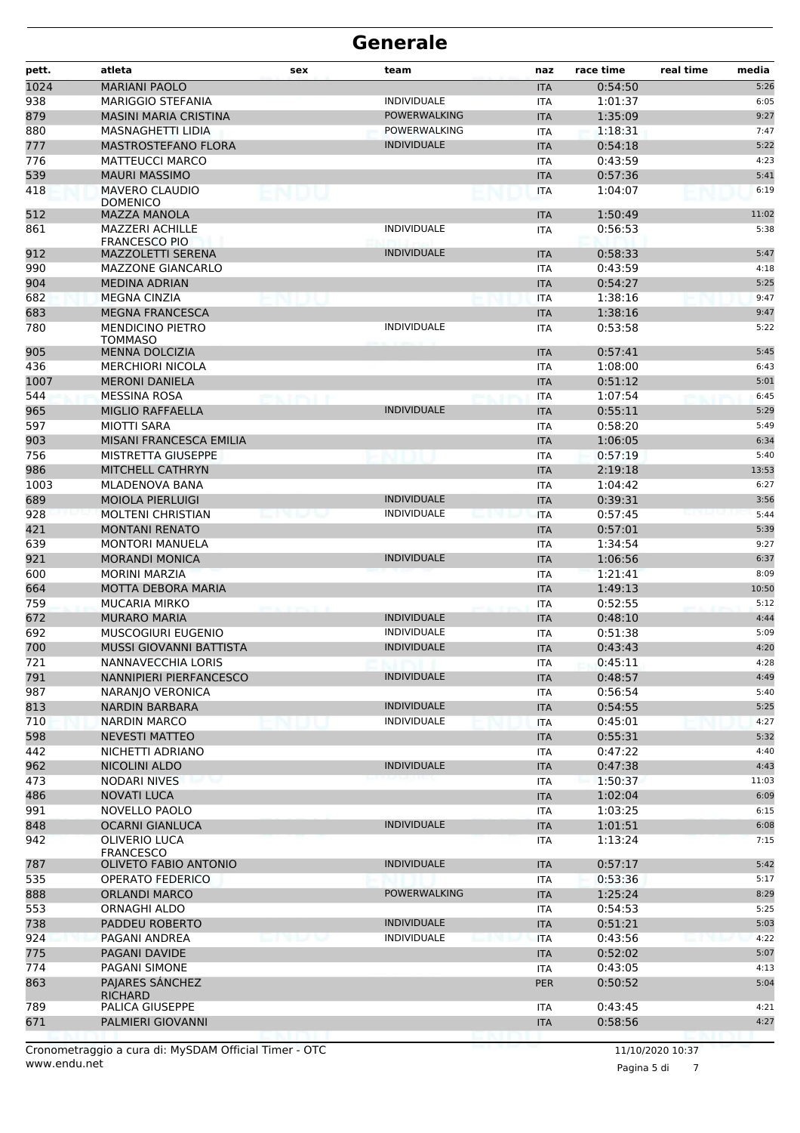| pett.      | atleta                                           | sex    | team                | naz                      | race time          | real time | media        |
|------------|--------------------------------------------------|--------|---------------------|--------------------------|--------------------|-----------|--------------|
| 1024       | <b>MARIANI PAOLO</b>                             |        |                     | <b>ITA</b>               | 0:54:50            |           | 5:26         |
| 938        | <b>MARIGGIO STEFANIA</b>                         |        | <b>INDIVIDUALE</b>  | <b>ITA</b>               | 1:01:37            |           | 6:05         |
| 879        | <b>MASINI MARIA CRISTINA</b>                     |        | <b>POWERWALKING</b> | <b>ITA</b>               | 1:35:09            |           | 9:27         |
| 880        | <b>MASNAGHETTI LIDIA</b>                         |        | <b>POWERWALKING</b> | <b>ITA</b>               | 1:18:31            |           | 7:47         |
| 777        | <b>MASTROSTEFANO FLORA</b>                       |        | <b>INDIVIDUALE</b>  | <b>ITA</b>               | 0:54:18            |           | 5:22         |
| 776        | <b>MATTEUCCI MARCO</b>                           |        |                     | <b>ITA</b>               | 0:43:59            |           | 4:23         |
| 539        | <b>MAURI MASSIMO</b>                             |        |                     | <b>ITA</b>               | 0:57:36            |           | 5:41         |
| 418        | <b>MAVERO CLAUDIO</b><br><b>DOMENICO</b>         | ENDU   |                     | <b>ITA</b>               | 1:04:07            |           | 6:19         |
| 512        | <b>MAZZA MANOLA</b>                              |        |                     | <b>ITA</b>               | 1:50:49            |           | 11:02        |
| 861        | <b>MAZZERI ACHILLE</b>                           |        | <b>INDIVIDUALE</b>  | <b>ITA</b>               | 0:56:53            |           | 5:38         |
| 912        | <b>FRANCESCO PIO</b><br><b>MAZZOLETTI SERENA</b> |        | <b>INDIVIDUALE</b>  | <b>ITA</b>               | 0:58:33            |           | 5:47         |
| 990        | <b>MAZZONE GIANCARLO</b>                         |        |                     | <b>ITA</b>               | 0:43:59            |           | 4:18         |
| 904        | <b>MEDINA ADRIAN</b>                             |        |                     | <b>ITA</b>               | 0:54:27            |           | 5:25         |
| 682        | <b>MEGNA CINZIA</b>                              |        |                     | <b>ITA</b>               | 1:38:16            |           | 9:47         |
| 683        | <b>MEGNA FRANCESCA</b>                           |        |                     | <b>ITA</b>               | 1:38:16            |           | 9:47         |
| 780        | <b>MENDICINO PIETRO</b>                          |        | <b>INDIVIDUALE</b>  | <b>ITA</b>               | 0:53:58            |           | 5:22         |
|            | <b>TOMMASO</b>                                   |        |                     |                          |                    |           |              |
| 905        | <b>MENNA DOLCIZIA</b>                            |        |                     | <b>ITA</b>               | 0:57:41            |           | 5:45         |
| 436        | <b>MERCHIORI NICOLA</b>                          |        |                     | <b>ITA</b>               | 1:08:00            |           | 6:43         |
| 1007       | <b>MERONI DANIELA</b>                            |        |                     | <b>ITA</b>               | 0:51:12            |           | 5:01         |
| 544        | <b>MESSINA ROSA</b>                              |        |                     | ITA                      | 1:07:54            |           | 6:45         |
| 965        | <b>MIGLIO RAFFAELLA</b>                          |        | <b>INDIVIDUALE</b>  | <b>ITA</b>               | 0:55:11            |           | 5:29         |
| 597        | <b>MIOTTI SARA</b>                               |        |                     | <b>ITA</b>               | 0:58:20            |           | 5:49         |
| 903        | MISANI FRANCESCA EMILIA                          |        |                     | <b>ITA</b>               | 1:06:05            |           | 6:34         |
| 756        | <b>MISTRETTA GIUSEPPE</b>                        |        |                     | <b>ITA</b>               | 0:57:19            |           | 5:40         |
| 986        | <b>MITCHELL CATHRYN</b>                          |        |                     | <b>ITA</b>               | 2:19:18            |           | 13:53        |
| 1003       | MLADENOVA BANA                                   |        |                     | ITA                      | 1:04:42            |           | 6:27         |
| 689        | <b>MOIOLA PIERLUIGI</b>                          |        | <b>INDIVIDUALE</b>  | <b>ITA</b>               | 0:39:31            |           | 3:56         |
| 928        | <b>MOLTENI CHRISTIAN</b>                         |        | <b>INDIVIDUALE</b>  | <b>ITA</b>               | 0:57:45            |           | 5:44         |
| 421        | <b>MONTANI RENATO</b>                            |        |                     | <b>ITA</b>               | 0:57:01            |           | 5:39         |
| 639        | <b>MONTORI MANUELA</b>                           |        |                     | <b>ITA</b>               | 1:34:54            |           | 9:27         |
| 921        | <b>MORANDI MONICA</b>                            |        | <b>INDIVIDUALE</b>  | <b>ITA</b>               | 1:06:56            |           | 6:37         |
| 600        | <b>MORINI MARZIA</b>                             |        |                     | ITA                      | 1:21:41<br>1:49:13 |           | 8:09         |
| 664        | <b>MOTTA DEBORA MARIA</b>                        |        |                     | <b>ITA</b>               |                    |           | 10:50        |
| 759        | <b>MUCARIA MIRKO</b>                             |        | <b>INDIVIDUALE</b>  | <b>ITA</b>               | 0:52:55            |           | 5:12<br>4:44 |
| 672<br>692 | <b>MURARO MARIA</b><br><b>MUSCOGIURI EUGENIO</b> |        | <b>INDIVIDUALE</b>  | <b>ITA</b>               | 0:48:10<br>0:51:38 |           | 5:09         |
| 700        | <b>MUSSI GIOVANNI BATTISTA</b>                   |        | <b>INDIVIDUALE</b>  | ITA<br><b>ITA</b>        | 0:43:43            |           | 4:20         |
| 721        |                                                  |        |                     |                          |                    |           | 4:28         |
| 791        | NANNAVECCHIA LORIS<br>NANNIPIERI PIERFANCESCO    |        | <b>INDIVIDUALE</b>  | <b>ITA</b>               | 0:45:11<br>0:48:57 |           | 4:49         |
| 987        | NARANIO VERONICA                                 |        |                     | <b>ITA</b><br><b>ITA</b> | 0:56:54            |           | 5:40         |
| 813        | NARDIN BARBARA                                   |        | <b>INDIVIDUALE</b>  | <b>ITA</b>               | 0:54:55            |           | 5:25         |
| 710        | <b>NARDIN MARCO</b>                              |        | <b>INDIVIDUALE</b>  | <b>ITA</b>               | 0:45:01            |           | 4:27         |
| 598        | <b>NEVESTI MATTEO</b>                            |        |                     | <b>ITA</b>               | 0:55:31            |           | 5:32         |
| 442        | NICHETTI ADRIANO                                 |        |                     | ITA                      | 0:47:22            |           | 4:40         |
| 962        | NICOLINI ALDO                                    |        | <b>INDIVIDUALE</b>  | <b>ITA</b>               | 0:47:38            |           | 4:43         |
| 473        | <b>NODARI NIVES</b>                              |        |                     | <b>ITA</b>               | 1:50:37            |           | 11:03        |
| 486        | <b>NOVATI LUCA</b>                               |        |                     | <b>ITA</b>               | 1:02:04            |           | 6:09         |
| 991        | NOVELLO PAOLO                                    |        |                     | ITA                      | 1:03:25            |           | 6:15         |
| 848        | <b>OCARNI GIANLUCA</b>                           |        | <b>INDIVIDUALE</b>  | <b>ITA</b>               | 1:01:51            |           | 6:08         |
| 942        | OLIVERIO LUCA                                    |        |                     | ITA                      | 1:13:24            |           | 7:15         |
|            | FRANCESCO                                        |        |                     |                          |                    |           |              |
| 787        | <b>OLIVETO FABIO ANTONIO</b>                     |        | <b>INDIVIDUALE</b>  | <b>ITA</b>               | 0:57:17            |           | 5:42         |
| 535        | <b>OPERATO FEDERICO</b>                          |        |                     | ITA                      | 0:53:36            |           | 5:17         |
| 888        | <b>ORLANDI MARCO</b>                             |        | POWERWALKING        | <b>ITA</b>               | 1:25:24            |           | 8:29         |
| 553        | ORNAGHI ALDO                                     |        |                     | ITA                      | 0:54:53            |           | 5:25         |
| 738        | PADDEU ROBERTO                                   |        | <b>INDIVIDUALE</b>  | <b>ITA</b>               | 0:51:21            |           | 5:03         |
| 924        | PAGANI ANDREA                                    | マート・トッ | <b>INDIVIDUALE</b>  | ITA                      | 0:43:56            |           | 4:22         |
| 775        | PAGANI DAVIDE                                    |        |                     | <b>ITA</b>               | 0:52:02            |           | 5:07         |
| 774        | PAGANI SIMONE                                    |        |                     | ITA                      | 0:43:05            |           | 4:13         |
| 863        | PAJARES SÁNCHEZ<br><b>RICHARD</b>                |        |                     | <b>PER</b>               | 0:50:52            |           | 5:04         |
| 789        | PALICA GIUSEPPE                                  |        |                     | ITA                      | 0:43:45            |           | 4:21         |
| 671        | PALMIERI GIOVANNI                                |        |                     | <b>ITA</b>               | 0:58:56            |           | 4:27         |
|            |                                                  |        |                     |                          |                    |           |              |

www.endu.net Cronometraggio a cura di: MySDAM Official Timer - OTC 11/10/2020 10:37

Pagina 5 di 7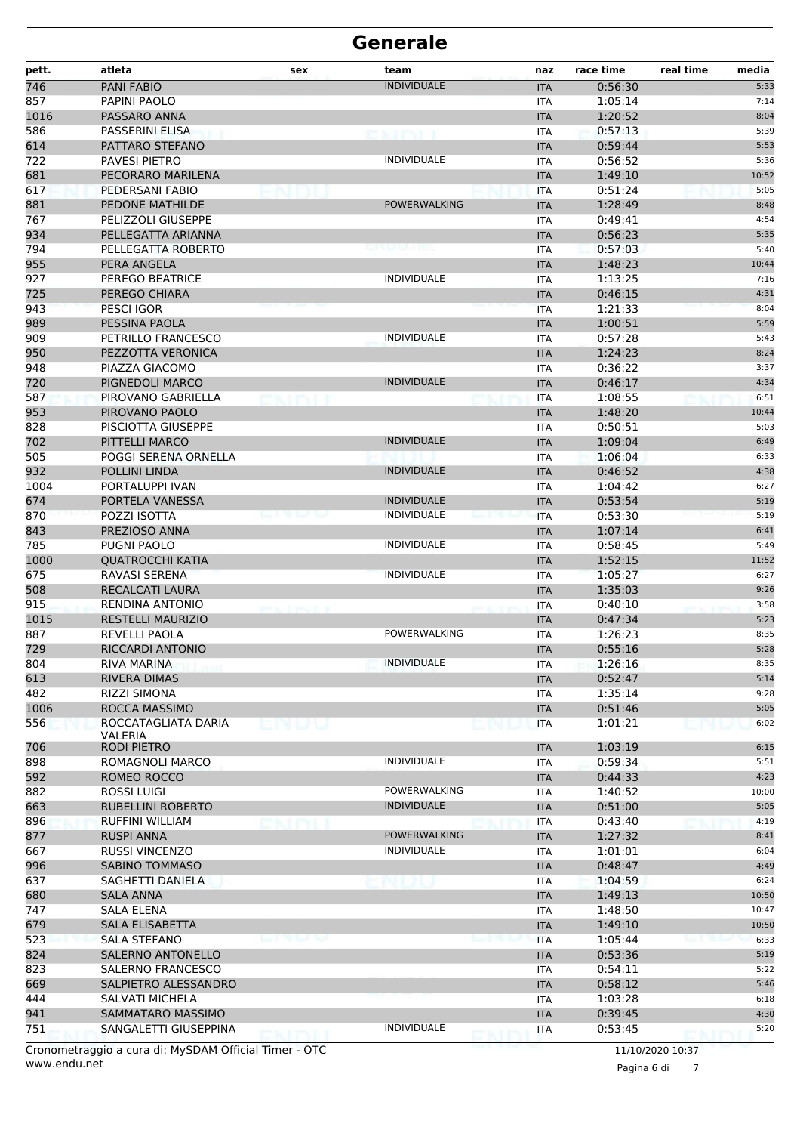| pett. | atleta                                               | sex               | team                | naz        | race time | real time    | media |
|-------|------------------------------------------------------|-------------------|---------------------|------------|-----------|--------------|-------|
| 746   | <b>PANI FABIO</b>                                    |                   | <b>INDIVIDUALE</b>  | <b>ITA</b> | 0:56:30   |              | 5:33  |
| 857   | PAPINI PAOLO                                         |                   |                     | ITA        | 1:05:14   |              | 7:14  |
| 1016  | PASSARO ANNA                                         |                   |                     | <b>ITA</b> | 1:20:52   |              | 8:04  |
| 586   | <b>PASSERINI ELISA</b>                               |                   | en i pot            | <b>ITA</b> | 0:57:13   |              | 5:39  |
| 614   | PATTARO STEFANO                                      |                   |                     | <b>ITA</b> | 0:59:44   |              | 5:53  |
| 722   | <b>PAVESI PIETRO</b>                                 |                   | <b>INDIVIDUALE</b>  | ITA        | 0:56:52   |              | 5:36  |
| 681   | PECORARO MARILENA                                    |                   |                     | <b>ITA</b> | 1:49:10   |              | 10:52 |
| 617   | PEDERSANI FABIO                                      |                   |                     | <b>ITA</b> | 0:51:24   |              | 5:05  |
| 881   | <b>PEDONE MATHILDE</b>                               |                   | <b>POWERWALKING</b> | <b>ITA</b> | 1:28:49   |              | 8:48  |
| 767   | PELIZZOLI GIUSEPPE                                   |                   |                     | <b>ITA</b> | 0:49:41   |              | 4:54  |
| 934   | PELLEGATTA ARIANNA                                   |                   |                     | <b>ITA</b> | 0:56:23   |              | 5:35  |
| 794   | PELLEGATTA ROBERTO                                   |                   |                     | ITA        | 0:57:03   |              | 5:40  |
| 955   | PERA ANGELA                                          |                   |                     | <b>ITA</b> | 1:48:23   |              | 10:44 |
| 927   | PEREGO BEATRICE                                      |                   | <b>INDIVIDUALE</b>  | <b>ITA</b> | 1:13:25   |              | 7:16  |
| 725   | PEREGO CHIARA                                        |                   |                     | <b>ITA</b> | 0:46:15   |              | 4:31  |
| 943   | PESCI IGOR                                           |                   |                     | <b>ITA</b> | 1:21:33   |              | 8:04  |
| 989   | PESSINA PAOLA                                        |                   |                     | <b>ITA</b> | 1:00:51   |              | 5:59  |
| 909   | PETRILLO FRANCESCO                                   |                   | <b>INDIVIDUALE</b>  | ITA        | 0:57:28   |              | 5:43  |
| 950   | PEZZOTTA VERONICA                                    |                   |                     | <b>ITA</b> | 1:24:23   |              | 8:24  |
| 948   | PIAZZA GIACOMO                                       |                   |                     | ITA        | 0:36:22   |              | 3:37  |
| 720   | PIGNEDOLI MARCO                                      |                   | <b>INDIVIDUALE</b>  | <b>ITA</b> | 0:46:17   |              | 4:34  |
| 587   | PIROVANO GABRIELLA                                   |                   |                     | ITA        | 1:08:55   |              | 6:51  |
| 953   | PIROVANO PAOLO                                       |                   |                     | <b>ITA</b> | 1:48:20   |              | 10:44 |
| 828   | PISCIOTTA GIUSEPPE                                   |                   |                     | <b>ITA</b> | 0:50:51   |              | 5:03  |
| 702   | PITTELLI MARCO                                       |                   | <b>INDIVIDUALE</b>  | <b>ITA</b> | 1:09:04   |              | 6:49  |
| 505   | POGGI SERENA ORNELLA                                 |                   |                     | <b>ITA</b> | 1:06:04   |              | 6:33  |
| 932   | POLLINI LINDA                                        |                   | <b>INDIVIDUALE</b>  | <b>ITA</b> | 0:46:52   |              | 4:38  |
| 1004  | PORTALUPPI IVAN                                      |                   |                     | ITA        | 1:04:42   |              | 6:27  |
| 674   | PORTELA VANESSA                                      |                   | <b>INDIVIDUALE</b>  | <b>ITA</b> | 0:53:54   |              | 5:19  |
| 870   | POZZI ISOTTA                                         |                   | <b>INDIVIDUALE</b>  | <b>ITA</b> | 0:53:30   |              | 5:19  |
| 843   | PREZIOSO ANNA                                        |                   |                     | <b>ITA</b> | 1:07:14   |              | 6:41  |
| 785   | PUGNI PAOLO                                          |                   | <b>INDIVIDUALE</b>  | <b>ITA</b> | 0:58:45   |              | 5:49  |
| 1000  | <b>QUATROCCHI KATIA</b>                              |                   |                     | <b>ITA</b> | 1:52:15   |              | 11:52 |
| 675   | RAVASI SERENA                                        |                   | <b>INDIVIDUALE</b>  | <b>ITA</b> | 1:05:27   |              | 6:27  |
| 508   | RECALCATI LAURA                                      |                   |                     | <b>ITA</b> | 1:35:03   |              | 9:26  |
| 915   | <b>RENDINA ANTONIO</b>                               |                   |                     | <b>ITA</b> | 0:40:10   |              | 3:58  |
| 1015  | <b>RESTELLI MAURIZIO</b>                             |                   |                     | <b>ITA</b> | 0:47:34   |              | 5:23  |
| 887   | REVELLI PAOLA                                        |                   | <b>POWERWALKING</b> | <b>ITA</b> | 1:26:23   |              | 8:35  |
| 729   | RICCARDI ANTONIO                                     |                   |                     | <b>ITA</b> | 0:55:16   |              | 5:28  |
| 804   | <b>RIVA MARINA</b>                                   |                   | INDIVIDUALE         | <b>ITA</b> | 1:26:16   |              | 8:35  |
| 613   | <b>RIVERA DIMAS</b>                                  |                   |                     | <b>ITA</b> | 0:52:47   |              | 5:14  |
| 482   | <b>RIZZI SIMONA</b>                                  |                   |                     | ITA        | 1:35:14   |              | 9:28  |
| 1006  | ROCCA MASSIMO                                        |                   |                     | <b>ITA</b> | 0:51:46   |              | 5:05  |
| 556   | ROCCATAGLIATA DARIA                                  | ENDU              |                     | <b>ITA</b> | 1:01:21   |              | 6:02  |
|       | VALERIA                                              |                   |                     |            |           |              |       |
| 706   | RODI PIETRO                                          |                   |                     | <b>ITA</b> | 1:03:19   |              | 6:15  |
| 898   | ROMAGNOLI MARCO                                      |                   | <b>INDIVIDUALE</b>  | <b>ITA</b> | 0:59:34   |              | 5:51  |
| 592   | ROMEO ROCCO                                          |                   |                     | <b>ITA</b> | 0:44:33   |              | 4:23  |
| 882   | <b>ROSSI LUIGI</b>                                   |                   | <b>POWERWALKING</b> | ITA        | 1:40:52   |              | 10:00 |
| 663   | RUBELLINI ROBERTO                                    |                   | <b>INDIVIDUALE</b>  | <b>ITA</b> | 0:51:00   |              | 5:05  |
| 896   | RUFFINI WILLIAM                                      |                   |                     | ITA        | 0:43:40   |              | 4:19  |
| 877   | <b>RUSPI ANNA</b>                                    |                   | <b>POWERWALKING</b> | <b>ITA</b> | 1:27:32   |              | 8:41  |
| 667   | <b>RUSSI VINCENZO</b>                                |                   | <b>INDIVIDUALE</b>  | <b>ITA</b> | 1:01:01   |              | 6:04  |
| 996   | SABINO TOMMASO                                       |                   |                     | <b>ITA</b> | 0:48:47   |              | 4:49  |
| 637   | SAGHETTI DANIELA                                     |                   |                     | <b>ITA</b> | 1:04:59   |              | 6:24  |
| 680   | SALA ANNA                                            |                   |                     | <b>ITA</b> | 1:49:13   |              | 10:50 |
| 747   | SALA ELENA                                           |                   |                     | ITA        | 1:48:50   |              | 10:47 |
| 679   | SALA ELISABETTA                                      |                   |                     | <b>ITA</b> | 1:49:10   |              | 10:50 |
| 523   | SALA STEFANO                                         | <b>CONTRACTOR</b> |                     | <b>ITA</b> | 1:05:44   |              | 6:33  |
| 824   | SALERNO ANTONELLO                                    |                   |                     | <b>ITA</b> | 0:53:36   |              | 5:19  |
| 823   | SALERNO FRANCESCO                                    |                   |                     | ITA        | 0:54:11   |              | 5:22  |
| 669   | SALPIETRO ALESSANDRO                                 |                   |                     | <b>ITA</b> | 0:58:12   |              | 5:46  |
| 444   | SALVATI MICHELA                                      |                   |                     | ITA        | 1:03:28   |              | 6:18  |
| 941   | SAMMATARO MASSIMO                                    |                   |                     | <b>ITA</b> | 0:39:45   |              | 4:30  |
| 751   | SANGALETTI GIUSEPPINA                                |                   | <b>INDIVIDUALE</b>  | ITA        | 0:53:45   |              | 5:20  |
|       | Cropomotraggio a cura di: MyCDAM Official Timor, OTC |                   |                     |            |           | 111000001007 |       |

www.endu.net Cronometraggio a cura di: MySDAM Official Timer - OTC 11/10/2020 10:37

Pagina 6 di 7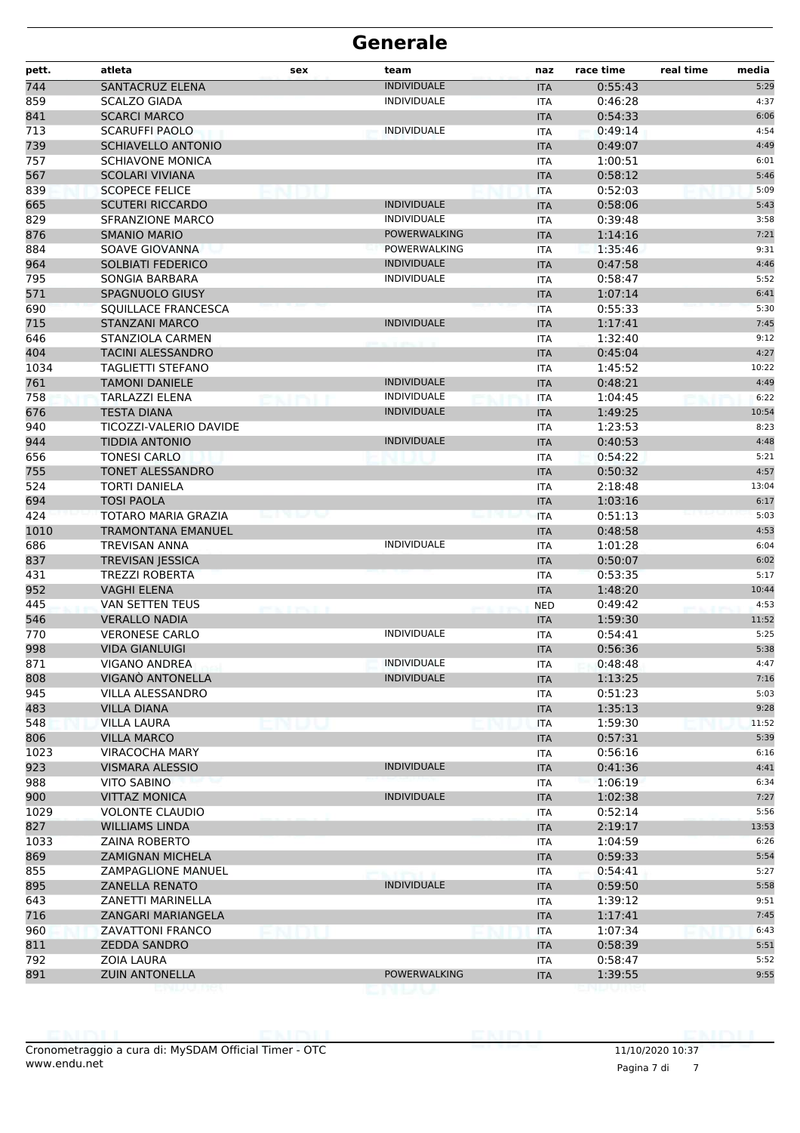| pett. | atleta                     | sex | team                | naz        | race time | real time | media |
|-------|----------------------------|-----|---------------------|------------|-----------|-----------|-------|
| 744   | <b>SANTACRUZ ELENA</b>     |     | <b>INDIVIDUALE</b>  | <b>ITA</b> | 0:55:43   |           | 5:29  |
| 859   | <b>SCALZO GIADA</b>        |     | <b>INDIVIDUALE</b>  | <b>ITA</b> | 0:46:28   |           | 4:37  |
| 841   | <b>SCARCI MARCO</b>        |     |                     | <b>ITA</b> | 0:54:33   |           | 6:06  |
| 713   | <b>SCARUFFI PAOLO</b>      |     | <b>INDIVIDUALE</b>  | <b>ITA</b> | 0:49:14   |           | 4:54  |
| 739   | <b>SCHIAVELLO ANTONIO</b>  |     |                     | <b>ITA</b> | 0:49:07   |           | 4:49  |
| 757   | <b>SCHIAVONE MONICA</b>    |     |                     | <b>ITA</b> | 1:00:51   |           | 6:01  |
| 567   | <b>SCOLARI VIVIANA</b>     |     |                     | <b>ITA</b> | 0:58:12   |           | 5:46  |
| 839   | <b>SCOPECE FELICE</b>      |     |                     | <b>ITA</b> | 0:52:03   |           | 5:09  |
| 665   | <b>SCUTERI RICCARDO</b>    |     | <b>INDIVIDUALE</b>  | <b>ITA</b> | 0:58:06   |           | 5:43  |
| 829   | <b>SFRANZIONE MARCO</b>    |     | <b>INDIVIDUALE</b>  | <b>ITA</b> | 0:39:48   |           | 3:58  |
| 876   | <b>SMANIO MARIO</b>        |     | <b>POWERWALKING</b> | <b>ITA</b> | 1:14:16   |           | 7:21  |
| 884   | SOAVE GIOVANNA             |     | POWERWALKING        | <b>ITA</b> | 1:35:46   |           | 9:31  |
| 964   | SOLBIATI FEDERICO          |     | <b>INDIVIDUALE</b>  | <b>ITA</b> | 0:47:58   |           | 4:46  |
| 795   | SONGIA BARBARA             |     | <b>INDIVIDUALE</b>  | <b>ITA</b> | 0:58:47   |           | 5:52  |
| 571   | <b>SPAGNUOLO GIUSY</b>     |     |                     | <b>ITA</b> | 1:07:14   |           | 6:41  |
| 690   | SQUILLACE FRANCESCA        |     |                     | <b>ITA</b> | 0:55:33   |           | 5:30  |
| 715   | <b>STANZANI MARCO</b>      |     | <b>INDIVIDUALE</b>  | <b>ITA</b> | 1:17:41   |           | 7:45  |
| 646   | STANZIOLA CARMEN           |     |                     | <b>ITA</b> | 1:32:40   |           | 9:12  |
| 404   | <b>TACINI ALESSANDRO</b>   |     |                     | <b>ITA</b> | 0:45:04   |           | 4:27  |
| 1034  | <b>TAGLIETTI STEFANO</b>   |     |                     | <b>ITA</b> | 1:45:52   |           | 10:22 |
| 761   | <b>TAMONI DANIELE</b>      |     | <b>INDIVIDUALE</b>  | <b>ITA</b> | 0:48:21   |           | 4:49  |
| 758   | <b>TARLAZZI ELENA</b>      |     | <b>INDIVIDUALE</b>  | <b>ITA</b> | 1:04:45   |           | 6:22  |
| 676   | <b>TESTA DIANA</b>         |     | <b>INDIVIDUALE</b>  | <b>ITA</b> | 1:49:25   |           | 10:54 |
| 940   | TICOZZI-VALERIO DAVIDE     |     |                     | <b>ITA</b> | 1:23:53   |           | 8:23  |
| 944   | <b>TIDDIA ANTONIO</b>      |     | <b>INDIVIDUALE</b>  | <b>ITA</b> | 0:40:53   |           | 4:48  |
| 656   | <b>TONESI CARLO</b>        |     |                     | <b>ITA</b> | 0:54:22   |           | 5:21  |
| 755   | <b>TONET ALESSANDRO</b>    |     |                     | <b>ITA</b> | 0:50:32   |           | 4:57  |
| 524   | <b>TORTI DANIELA</b>       |     |                     | <b>ITA</b> | 2:18:48   |           | 13:04 |
| 694   | <b>TOSI PAOLA</b>          |     |                     | <b>ITA</b> | 1:03:16   |           | 6:17  |
| 424   | <b>TOTARO MARIA GRAZIA</b> |     |                     | <b>ITA</b> | 0:51:13   |           | 5:03  |
| 1010  | TRAMONTANA EMANUEL         |     |                     | <b>ITA</b> | 0:48:58   |           | 4:53  |
| 686   | <b>TREVISAN ANNA</b>       |     | <b>INDIVIDUALE</b>  | <b>ITA</b> | 1:01:28   |           | 6:04  |
| 837   | <b>TREVISAN JESSICA</b>    |     |                     | <b>ITA</b> | 0:50:07   |           | 6:02  |
| 431   | <b>TREZZI ROBERTA</b>      |     |                     | <b>ITA</b> | 0:53:35   |           | 5:17  |
| 952   | <b>VAGHI ELENA</b>         |     |                     | <b>ITA</b> | 1:48:20   |           | 10:44 |
| 445   | VAN SETTEN TEUS            |     |                     | <b>NED</b> | 0:49:42   |           | 4:53  |
| 546   | <b>VERALLO NADIA</b>       |     |                     | <b>ITA</b> | 1:59:30   |           | 11:52 |
| 770   | <b>VERONESE CARLO</b>      |     | <b>INDIVIDUALE</b>  | <b>ITA</b> | 0:54:41   |           | 5:25  |
| 998   | <b>VIDA GIANLUIGI</b>      |     |                     | <b>ITA</b> | 0:56:36   |           | 5:38  |
| 871   | VIGANO ANDREA              |     | <b>INDIVIDUALE</b>  | <b>ITA</b> | 0:48:48   |           | 4:47  |
| 808   | VIGANÒ ANTONELLA           |     | <b>INDIVIDUALE</b>  | <b>ITA</b> | 1:13:25   |           | 7:16  |
| 945   | <b>VILLA ALESSANDRO</b>    |     |                     | ITA        | 0:51:23   |           | 5:03  |
| 483   | <b>VILLA DIANA</b>         |     |                     | <b>ITA</b> | 1:35:13   |           | 9:28  |
| 548   | <b>VILLA LAURA</b>         |     |                     | <b>ITA</b> | 1:59:30   |           | 11:52 |
| 806   | <b>VILLA MARCO</b>         |     |                     | <b>ITA</b> | 0:57:31   |           | 5:39  |
| 1023  | <b>VIRACOCHA MARY</b>      |     |                     | ITA        | 0:56:16   |           | 6:16  |
| 923   | <b>VISMARA ALESSIO</b>     |     | <b>INDIVIDUALE</b>  | <b>ITA</b> | 0:41:36   |           | 4:41  |
| 988   | VITO SABINO                |     |                     | ITA        | 1:06:19   |           | 6:34  |
| 900   | <b>VITTAZ MONICA</b>       |     | <b>INDIVIDUALE</b>  | <b>ITA</b> | 1:02:38   |           | 7:27  |
| 1029  | <b>VOLONTE CLAUDIO</b>     |     |                     | ITA        | 0:52:14   |           | 5:56  |
| 827   | <b>WILLIAMS LINDA</b>      |     |                     | <b>ITA</b> | 2:19:17   |           | 13:53 |
| 1033  | <b>ZAINA ROBERTO</b>       |     |                     | ITA        | 1:04:59   |           | 6:26  |
| 869   | <b>ZAMIGNAN MICHELA</b>    |     |                     | <b>ITA</b> | 0:59:33   |           | 5:54  |
| 855   | ZAMPAGLIONE MANUEL         |     |                     | ITA        | 0:54:41   |           | 5:27  |
| 895   | <b>ZANELLA RENATO</b>      |     | <b>INDIVIDUALE</b>  | <b>ITA</b> | 0:59:50   |           | 5:58  |
| 643   | ZANETTI MARINELLA          |     |                     | ITA        | 1:39:12   |           | 9:51  |
| 716   | ZANGARI MARIANGELA         |     |                     | <b>ITA</b> | 1:17:41   |           | 7:45  |
| 960   | <b>ZAVATTONI FRANCO</b>    |     |                     | ITA        | 1:07:34   |           | 6:43  |
| 811   | <b>ZEDDA SANDRO</b>        |     |                     | <b>ITA</b> | 0:58:39   |           | 5:51  |
| 792   | ZOIA LAURA                 |     |                     | ITA        | 0:58:47   |           | 5:52  |
|       | <b>ZUIN ANTONELLA</b>      |     | POWERWALKING        | <b>ITA</b> | 1:39:55   |           | 9:55  |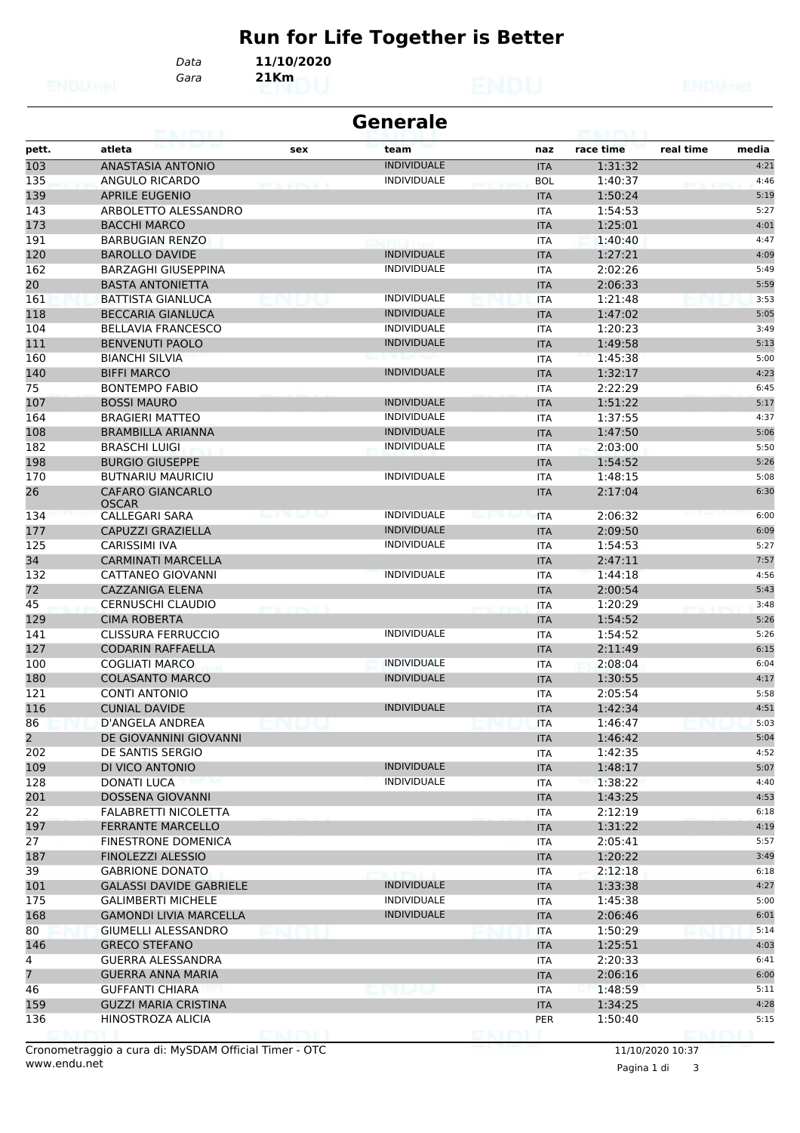# **Run for Life Together is Better**

Ĭ.

*Gara* **21Km** *Data* **11/10/2020**

| <b>Generale</b> |                                         |     |                    |  |            |           |           |       |  |  |
|-----------------|-----------------------------------------|-----|--------------------|--|------------|-----------|-----------|-------|--|--|
| pett.           | atleta                                  | sex | team               |  | naz        | race time | real time | media |  |  |
| 103             | <b>ANASTASIA ANTONIO</b>                |     | <b>INDIVIDUALE</b> |  | <b>ITA</b> | 1:31:32   |           | 4:21  |  |  |
| 135             | ANGULO RICARDO                          |     | <b>INDIVIDUALE</b> |  | <b>BOL</b> | 1:40:37   |           | 4:46  |  |  |
| 139             | <b>APRILE EUGENIO</b>                   |     |                    |  | <b>ITA</b> | 1:50:24   |           | 5:19  |  |  |
| 143             | ARBOLETTO ALESSANDRO                    |     |                    |  | ITA        | 1:54:53   |           | 5:27  |  |  |
| 173             | <b>BACCHI MARCO</b>                     |     |                    |  | <b>ITA</b> | 1:25:01   |           | 4:01  |  |  |
| 191             | <b>BARBUGIAN RENZO</b>                  |     |                    |  | ITA        | 1:40:40   |           | 4:47  |  |  |
| 120             | <b>BAROLLO DAVIDE</b>                   |     | <b>INDIVIDUALE</b> |  | <b>ITA</b> | 1:27:21   |           | 4:09  |  |  |
| 162             | <b>BARZAGHI GIUSEPPINA</b>              |     | <b>INDIVIDUALE</b> |  | <b>ITA</b> | 2:02:26   |           | 5:49  |  |  |
| 20              | <b>BASTA ANTONIETTA</b>                 |     |                    |  | <b>ITA</b> | 2:06:33   |           | 5:59  |  |  |
| 161             | <b>BATTISTA GIANLUCA</b>                |     | <b>INDIVIDUALE</b> |  | <b>ITA</b> | 1:21:48   |           | 3:53  |  |  |
| 118             | <b>BECCARIA GIANLUCA</b>                |     | <b>INDIVIDUALE</b> |  | <b>ITA</b> | 1:47:02   |           | 5:05  |  |  |
| 104             | <b>BELLAVIA FRANCESCO</b>               |     | <b>INDIVIDUALE</b> |  | ITA        | 1:20:23   |           | 3:49  |  |  |
| 111             | <b>BENVENUTI PAOLO</b>                  |     | <b>INDIVIDUALE</b> |  | <b>ITA</b> | 1:49:58   |           | 5:13  |  |  |
| 160             | <b>BIANCHI SILVIA</b>                   |     |                    |  | <b>ITA</b> | 1:45:38   |           | 5:00  |  |  |
| 140             | <b>BIFFI MARCO</b>                      |     | <b>INDIVIDUALE</b> |  | <b>ITA</b> | 1:32:17   |           | 4:23  |  |  |
| 75              | <b>BONTEMPO FABIO</b>                   |     |                    |  | ITA        | 2:22:29   |           | 6:45  |  |  |
| 107             | <b>BOSSI MAURO</b>                      |     | <b>INDIVIDUALE</b> |  | <b>ITA</b> | 1:51:22   |           | 5:17  |  |  |
| 164             | <b>BRAGIERI MATTEO</b>                  |     | <b>INDIVIDUALE</b> |  | <b>ITA</b> | 1:37:55   |           | 4:37  |  |  |
| 108             | <b>BRAMBILLA ARIANNA</b>                |     | <b>INDIVIDUALE</b> |  |            | 1:47:50   |           | 5:06  |  |  |
| 182             | <b>BRASCHI LUIGI</b>                    |     | <b>INDIVIDUALE</b> |  | <b>ITA</b> | 2:03:00   |           | 5:50  |  |  |
|                 |                                         |     |                    |  | <b>ITA</b> |           |           |       |  |  |
| 198             | <b>BURGIO GIUSEPPE</b>                  |     |                    |  | <b>ITA</b> | 1:54:52   |           | 5:26  |  |  |
| 170             | <b>BUTNARIU MAURICIU</b>                |     | <b>INDIVIDUALE</b> |  | ITA        | 1:48:15   |           | 5:08  |  |  |
| 26              | <b>CAFARO GIANCARLO</b><br><b>OSCAR</b> |     |                    |  | <b>ITA</b> | 2:17:04   |           | 6:30  |  |  |
| 134             | CALLEGARI SARA                          |     | <b>INDIVIDUALE</b> |  | <b>ITA</b> | 2:06:32   |           | 6:00  |  |  |
| 177             | CAPUZZI GRAZIELLA                       |     | <b>INDIVIDUALE</b> |  | <b>ITA</b> | 2:09:50   |           | 6:09  |  |  |
| 125             | CARISSIMI IVA                           |     | <b>INDIVIDUALE</b> |  | ITA        | 1:54:53   |           | 5:27  |  |  |
| 34              | <b>CARMINATI MARCELLA</b>               |     |                    |  | <b>ITA</b> | 2:47:11   |           | 7:57  |  |  |
| 132             | CATTANEO GIOVANNI                       |     | <b>INDIVIDUALE</b> |  | ITA        | 1:44:18   |           | 4:56  |  |  |
| 72              | <b>CAZZANIGA ELENA</b>                  |     |                    |  | <b>ITA</b> | 2:00:54   |           | 5:43  |  |  |
| 45              | <b>CERNUSCHI CLAUDIO</b>                |     |                    |  | <b>ITA</b> | 1:20:29   |           | 3:48  |  |  |
| 129             | <b>CIMA ROBERTA</b>                     |     |                    |  | <b>ITA</b> | 1:54:52   |           | 5:26  |  |  |
| 141             | CLISSURA FERRUCCIO                      |     | <b>INDIVIDUALE</b> |  | ITA        | 1:54:52   |           | 5:26  |  |  |
| 127             | <b>CODARIN RAFFAELLA</b>                |     |                    |  | <b>ITA</b> | 2:11:49   |           | 6:15  |  |  |
| 100             | <b>COGLIATI MARCO</b>                   |     | <b>INDIVIDUALE</b> |  |            | 2:08:04   |           | 6:04  |  |  |
|                 | <b>COLASANTO MARCO</b>                  |     | <b>INDIVIDUALE</b> |  | ITA        | 1:30:55   |           | 4:17  |  |  |
| 180<br>121      | <b>CONTI ANTONIO</b>                    |     |                    |  | <b>ITA</b> |           |           |       |  |  |
|                 |                                         |     | <b>INDIVIDUALE</b> |  | ITA        | 2:05:54   |           | 5:58  |  |  |
| 116             | <b>CUNIAL DAVIDE</b>                    |     |                    |  | <b>ITA</b> | 1:42:34   |           | 4:51  |  |  |
| 86              | D'ANGELA ANDREA                         |     |                    |  | <b>ITA</b> | 1:46:47   |           | 5:03  |  |  |
| $\overline{2}$  | DE GIOVANNINI GIOVANNI                  |     |                    |  | <b>ITA</b> | 1:46:42   |           | 5:04  |  |  |
| 202             | DE SANTIS SERGIO                        |     |                    |  | ITA        | 1:42:35   |           | 4:52  |  |  |
| 109             | DI VICO ANTONIO                         |     | <b>INDIVIDUALE</b> |  | <b>ITA</b> | 1:48:17   |           | 5:07  |  |  |
| 128             | DONATI LUCA                             |     | <b>INDIVIDUALE</b> |  | ITA        | 1:38:22   |           | 4:40  |  |  |
| 201             | <b>DOSSENA GIOVANNI</b>                 |     |                    |  | <b>ITA</b> | 1:43:25   |           | 4:53  |  |  |
| 22              | FALABRETTI NICOLETTA                    |     |                    |  | ITA        | 2:12:19   |           | 6:18  |  |  |
| 197             | <b>FERRANTE MARCELLO</b>                |     |                    |  | <b>ITA</b> | 1:31:22   |           | 4:19  |  |  |
| 27              | <b>FINESTRONE DOMENICA</b>              |     |                    |  | ITA        | 2:05:41   |           | 5:57  |  |  |
| 187             | <b>FINOLEZZI ALESSIO</b>                |     |                    |  | <b>ITA</b> | 1:20:22   |           | 3:49  |  |  |
| 39              | <b>GABRIONE DONATO</b>                  |     |                    |  | ITA        | 2:12:18   |           | 6:18  |  |  |
| 101             | <b>GALASSI DAVIDE GABRIELE</b>          |     | <b>INDIVIDUALE</b> |  | <b>ITA</b> | 1:33:38   |           | 4:27  |  |  |
| 175             | <b>GALIMBERTI MICHELE</b>               |     | <b>INDIVIDUALE</b> |  | ITA        | 1:45:38   |           | 5:00  |  |  |
| 168             | <b>GAMONDI LIVIA MARCELLA</b>           |     | <b>INDIVIDUALE</b> |  | <b>ITA</b> | 2:06:46   |           | 6:01  |  |  |
| 80              | <b>GIUMELLI ALESSANDRO</b>              |     |                    |  | <b>ITA</b> | 1:50:29   |           | 5:14  |  |  |
| 146             | <b>GRECO STEFANO</b>                    |     |                    |  | <b>ITA</b> | 1:25:51   |           | 4:03  |  |  |
| 4               | <b>GUERRA ALESSANDRA</b>                |     |                    |  | ITA        | 2:20:33   |           | 6:41  |  |  |
| 7               | <b>GUERRA ANNA MARIA</b>                |     |                    |  | <b>ITA</b> | 2:06:16   |           | 6:00  |  |  |
| 46              | <b>GUFFANTI CHIARA</b>                  |     |                    |  | ITA        | 1:48:59   |           | 5:11  |  |  |
| 159             | <b>GUZZI MARIA CRISTINA</b>             |     |                    |  | <b>ITA</b> | 1:34:25   |           | 4:28  |  |  |
| 136             | HINOSTROZA ALICIA                       |     |                    |  | <b>PER</b> | 1:50:40   |           | 5:15  |  |  |
|                 |                                         |     |                    |  |            |           |           |       |  |  |

Pagina 1 di 3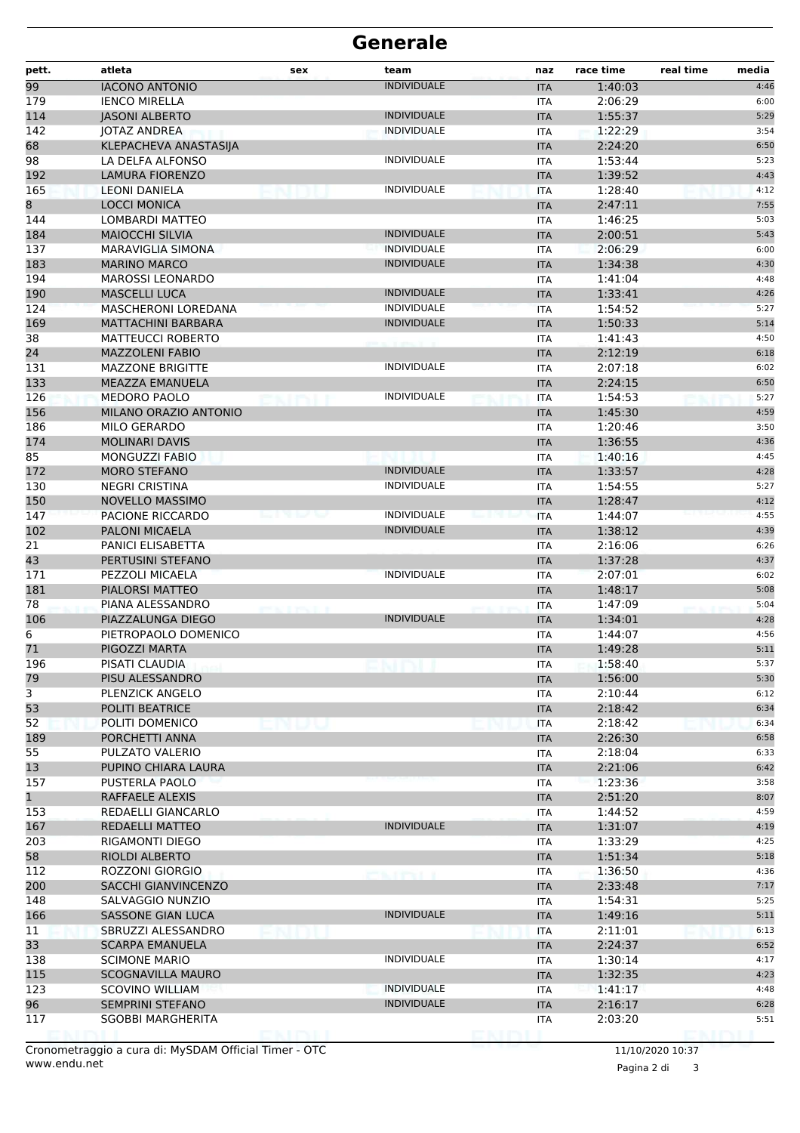| pett.        | atleta                                      | sex | team                        | naz                      | race time          | real time | media        |
|--------------|---------------------------------------------|-----|-----------------------------|--------------------------|--------------------|-----------|--------------|
| 99           | <b>IACONO ANTONIO</b>                       |     | <b>INDIVIDUALE</b>          | <b>ITA</b>               | 1:40:03            |           | 4:46         |
| 179          | <b>IENCO MIRELLA</b>                        |     |                             | ITA                      | 2:06:29            |           | 6:00         |
| 114          | <b>JASONI ALBERTO</b>                       |     | <b>INDIVIDUALE</b>          | <b>ITA</b>               | 1:55:37            |           | 5:29         |
| 142          | JOTAZ ANDREA                                |     | <b>INDIVIDUALE</b>          | <b>ITA</b>               | 1:22:29            |           | 3:54         |
| 68           | KLEPACHEVA ANASTASIJA                       |     |                             | <b>ITA</b>               | 2:24:20            |           | 6:50         |
| 98           | LA DELFA ALFONSO                            |     | <b>INDIVIDUALE</b>          | ITA                      | 1:53:44            |           | 5:23         |
| 192          | <b>LAMURA FIORENZO</b>                      |     | <b>INDIVIDUALE</b>          | <b>ITA</b>               | 1:39:52            |           | 4:43         |
| 165          | <b>LEONI DANIELA</b><br><b>LOCCI MONICA</b> |     |                             | <b>ITA</b>               | 1:28:40<br>2:47:11 |           | 4:12<br>7:55 |
| 8<br>144     | LOMBARDI MATTEO                             |     |                             | <b>ITA</b><br>ITA        | 1:46:25            |           | 5:03         |
| 184          | <b>MAIOCCHI SILVIA</b>                      |     | <b>INDIVIDUALE</b>          | <b>ITA</b>               | 2:00:51            |           | 5:43         |
| 137          | <b>MARAVIGLIA SIMONA</b>                    |     | <b>INDIVIDUALE</b>          | ITA                      | 2:06:29            |           | 6:00         |
| 183          | <b>MARINO MARCO</b>                         |     | <b>INDIVIDUALE</b>          | <b>ITA</b>               | 1:34:38            |           | 4:30         |
| 194          | <b>MAROSSI LEONARDO</b>                     |     |                             | ITA                      | 1:41:04            |           | 4:48         |
| 190          | <b>MASCELLI LUCA</b>                        |     | <b>INDIVIDUALE</b>          | <b>ITA</b>               | 1:33:41            |           | 4:26         |
| 124          | <b>MASCHERONI LOREDANA</b>                  |     | <b>INDIVIDUALE</b>          | <b>ITA</b>               | 1:54:52            |           | 5:27         |
| 169          | <b>MATTACHINI BARBARA</b>                   |     | <b>INDIVIDUALE</b>          | <b>ITA</b>               | 1:50:33            |           | 5:14         |
| 38           | <b>MATTEUCCI ROBERTO</b>                    |     |                             | <b>ITA</b>               | 1:41:43            |           | 4:50         |
| 24           | <b>MAZZOLENI FABIO</b>                      |     |                             | <b>ITA</b>               | 2:12:19            |           | 6:18         |
| 131          | <b>MAZZONE BRIGITTE</b>                     |     | <b>INDIVIDUALE</b>          | <b>ITA</b>               | 2:07:18            |           | 6:02         |
| 133          | <b>MEAZZA EMANUELA</b>                      |     |                             | <b>ITA</b>               | 2:24:15            |           | 6:50         |
| 126          | <b>MEDORO PAOLO</b>                         |     | <b>INDIVIDUALE</b>          | <b>ITA</b>               | 1:54:53            |           | 5:27         |
| 156          | MILANO ORAZIO ANTONIO                       |     |                             | <b>ITA</b>               | 1:45:30            |           | 4:59         |
| 186          | <b>MILO GERARDO</b>                         |     |                             | ITA                      | 1:20:46            |           | 3:50         |
| 174          | <b>MOLINARI DAVIS</b>                       |     |                             | <b>ITA</b>               | 1:36:55            |           | 4:36         |
| 85           | <b>MONGUZZI FABIO</b>                       |     |                             | <b>ITA</b>               | 1:40:16            |           | 4:45         |
| 172          | <b>MORO STEFANO</b>                         |     | <b>INDIVIDUALE</b>          | <b>ITA</b>               | 1:33:57            |           | 4:28         |
| 130          | <b>NEGRI CRISTINA</b>                       |     | <b>INDIVIDUALE</b>          | ITA                      | 1:54:55            |           | 5:27         |
| 150          | <b>NOVELLO MASSIMO</b>                      |     | <b>INDIVIDUALE</b>          | <b>ITA</b>               | 1:28:47            |           | 4:12         |
| 147<br>102   | PACIONE RICCARDO<br><b>PALONI MICAELA</b>   |     |                             | <b>ITA</b>               | 1:44:07<br>1:38:12 |           | 4:55         |
| 21           | PANICI ELISABETTA                           |     | <b>INDIVIDUALE</b>          | <b>ITA</b><br><b>ITA</b> | 2:16:06            |           | 4:39<br>6:26 |
| 43           | PERTUSINI STEFANO                           |     |                             | <b>ITA</b>               | 1:37:28            |           | 4:37         |
| 171          | PEZZOLI MICAELA                             |     | <b>INDIVIDUALE</b>          | ITA                      | 2:07:01            |           | 6:02         |
| 181          | PIALORSI MATTEO                             |     |                             | <b>ITA</b>               | 1:48:17            |           | 5:08         |
| 78           | PIANA ALESSANDRO                            |     |                             | ITA                      | 1:47:09            |           | 5:04         |
| 106          | PIAZZALUNGA DIEGO                           |     | <b>INDIVIDUALE</b>          | <b>ITA</b>               | 1:34:01            |           | 4:28         |
| 6            | PIETROPAOLO DOMENICO                        |     |                             | ITA                      | 1:44:07            |           | 4:56         |
| 71           | PIGOZZI MARTA                               |     |                             | <b>ITA</b>               | 1:49:28            |           | 5:11         |
| 196          | PISATI CLAUDIA                              |     |                             | IIA.                     | 1:58:40            |           | 5:37         |
| 79           | PISU ALESSANDRO                             |     |                             | <b>ITA</b>               | 1:56:00            |           | 5:30         |
| $\mathbf{3}$ | PLENZICK ANGELO                             |     |                             | ITA                      | 2:10:44            |           | 6:12         |
| 53           | <b>POLITI BEATRICE</b>                      |     |                             | <b>ITA</b>               | 2:18:42            |           | 6:34         |
| 52           | POLITI DOMENICO                             |     |                             | <b>ITA</b>               | 2:18:42            |           | 6:34         |
| 189          | PORCHETTI ANNA                              |     |                             | <b>ITA</b>               | 2:26:30            |           | 6:58         |
| 55           | PULZATO VALERIO                             |     |                             | ITA                      | 2:18:04            |           | 6:33         |
| 13           | PUPINO CHIARA LAURA                         |     |                             | <b>ITA</b>               | 2:21:06            |           | 6:42         |
| 157          | PUSTERLA PAOLO                              |     |                             | ITA                      | 1:23:36            |           | 3:58         |
| $\mathbf{1}$ | RAFFAELE ALEXIS                             |     |                             | <b>ITA</b>               | 2:51:20            |           | 8:07         |
| 153          | REDAELLI GIANCARLO                          |     |                             | <b>ITA</b>               | 1:44:52            |           | 4:59         |
| 167          | REDAELLI MATTEO                             |     | <b>INDIVIDUALE</b>          | <b>ITA</b>               | 1:31:07            |           | 4:19         |
| 203          | RIGAMONTI DIEGO                             |     |                             | ITA                      | 1:33:29            |           | 4:25         |
| 58<br>112    | <b>RIOLDI ALBERTO</b>                       |     |                             | <b>ITA</b>               | 1:51:34            |           | 5:18         |
| 200          | ROZZONI GIORGIO<br>SACCHI GIANVINCENZO      |     | <b><i>SALE PRESERVE</i></b> | ITA                      | 1:36:50<br>2:33:48 |           | 4:36<br>7:17 |
| 148          | SALVAGGIO NUNZIO                            |     |                             | <b>ITA</b><br>ITA        | 1:54:31            |           | 5:25         |
| 166          | SASSONE GIAN LUCA                           |     | <b>INDIVIDUALE</b>          | <b>ITA</b>               | 1:49:16            |           | 5:11         |
| 11           | SBRUZZI ALESSANDRO                          |     |                             | <b>ITA</b>               | 2:11:01            |           | 6:13         |
| 33           | <b>SCARPA EMANUELA</b>                      |     |                             | <b>ITA</b>               | 2:24:37            |           | 6:52         |
| 138          | <b>SCIMONE MARIO</b>                        |     | <b>INDIVIDUALE</b>          | ITA                      | 1:30:14            |           | 4:17         |
| 115          | SCOGNAVILLA MAURO                           |     |                             | <b>ITA</b>               | 1:32:35            |           | 4:23         |
| 123          | <b>SCOVINO WILLIAM</b>                      |     | <b>INDIVIDUALE</b>          | ITA                      | 1:41:17            |           | 4:48         |
| 96           | <b>SEMPRINI STEFANO</b>                     |     | <b>INDIVIDUALE</b>          | <b>ITA</b>               | 2:16:17            |           | 6:28         |
| 117          | SGOBBI MARGHERITA                           |     |                             | ITA                      | 2:03:20            |           | 5:51         |
|              |                                             |     |                             |                          |                    |           |              |

www.endu.net Cronometraggio a cura di: MySDAM Official Timer - OTC 11/10/2020 10:37

Pagina 2 di 3